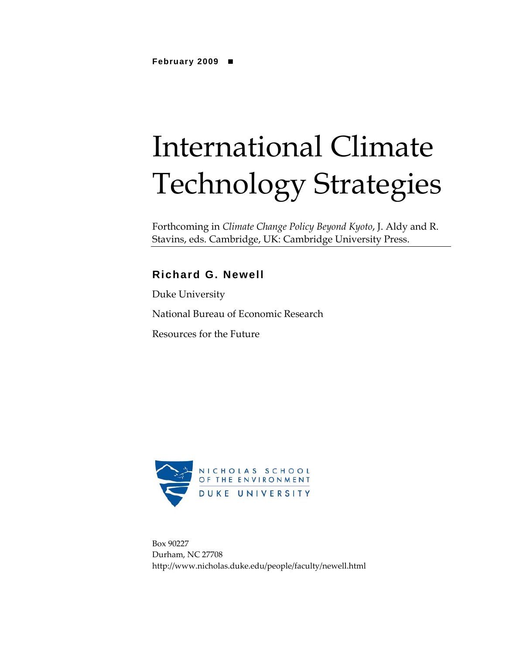# International Climate Technology Strategies

Forthcoming in *Climate Change Policy Beyond Kyoto*, J. Aldy and R. Stavins, eds. Cambridge, UK: Cambridge University Press.

# **Richard G. Newell**

Duke University

National Bureau of Economic Research

Resources for the Future



Box 90227 Durham, NC 27708 http://www.nicholas.duke.edu/people/faculty/newell.html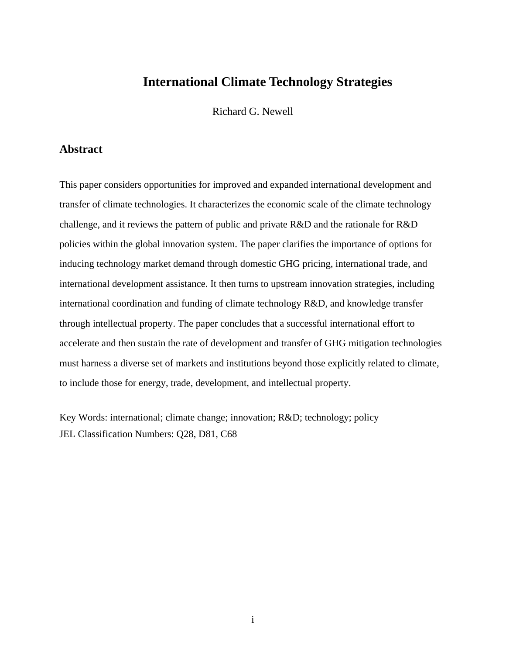# **International Climate Technology Strategies**

Richard G. Newell

#### <span id="page-1-0"></span>**Abstract**

This paper considers opportunities for improved and expanded international development and transfer of climate technologies. It characterizes the economic scale of the climate technology challenge, and it reviews the pattern of public and private R&D and the rationale for R&D policies within the global innovation system. The paper clarifies the importance of options for inducing technology market demand through domestic GHG pricing, international trade, and international development assistance. It then turns to upstream innovation strategies, including international coordination and funding of climate technology R&D, and knowledge transfer through intellectual property. The paper concludes that a successful international effort to accelerate and then sustain the rate of development and transfer of GHG mitigation technologies must harness a diverse set of markets and institutions beyond those explicitly related to climate, to include those for energy, trade, development, and intellectual property.

Key Words: international; climate change; innovation; R&D; technology; policy JEL Classification Numbers: Q28, D81, C68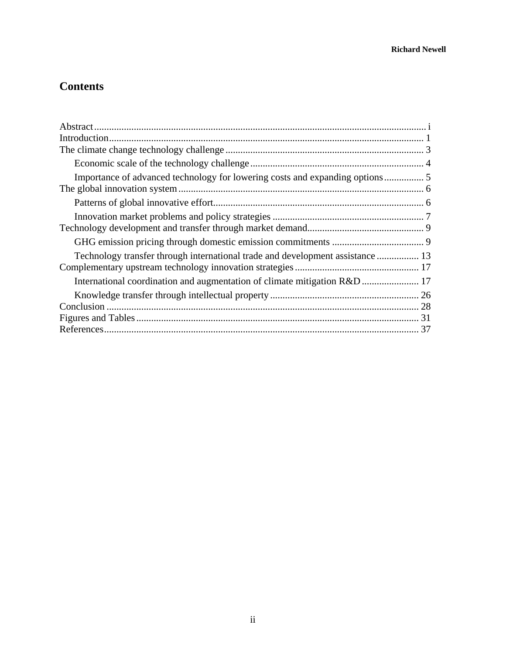# **Contents**

| Technology transfer through international trade and development assistance  13 |  |
|--------------------------------------------------------------------------------|--|
|                                                                                |  |
| International coordination and augmentation of climate mitigation R&D  17      |  |
|                                                                                |  |
|                                                                                |  |
|                                                                                |  |
|                                                                                |  |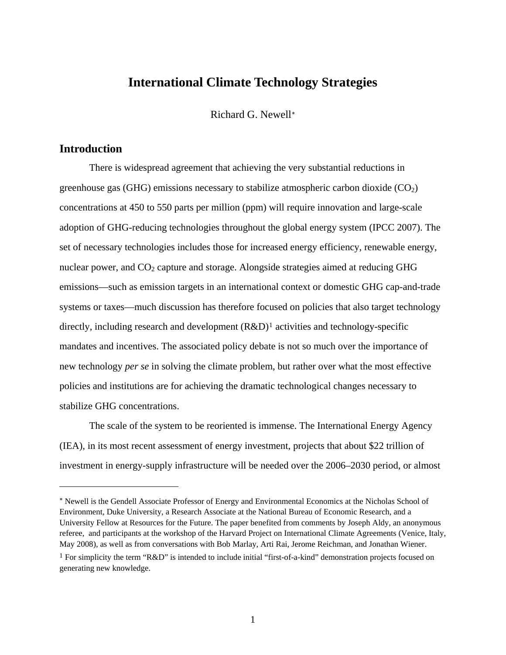# <span id="page-3-0"></span>**International Climate Technology Strategies**

Richard G. Newell[∗](#page-3-1)

#### **Introduction**

 $\overline{a}$ 

There is widespread agreement that achieving the very substantial reductions in greenhouse gas (GHG) emissions necessary to stabilize atmospheric carbon dioxide  $(CO<sub>2</sub>)$ concentrations at 450 to 550 parts per million (ppm) will require innovation and large-scale adoption of GHG-reducing technologies throughout the global energy system (IPCC 2007). The set of necessary technologies includes those for increased energy efficiency, renewable energy, nuclear power, and  $CO<sub>2</sub>$  capture and storage. Alongside strategies aimed at reducing GHG emissions—such as emission targets in an international context or domestic GHG cap-and-trade systems or taxes—much discussion has therefore focused on policies that also target technology directly, including research and development  $(R&D)^1$  $(R&D)^1$  activities and technology-specific mandates and incentives. The associated policy debate is not so much over the importance of new technology *per se* in solving the climate problem, but rather over what the most effective policies and institutions are for achieving the dramatic technological changes necessary to stabilize GHG concentrations.

The scale of the system to be reoriented is immense. The International Energy Agency (IEA), in its most recent assessment of energy investment, projects that about \$22 trillion of investment in energy-supply infrastructure will be needed over the 2006–2030 period, or almost

<span id="page-3-2"></span><span id="page-3-1"></span><sup>∗</sup> Newell is the Gendell Associate Professor of Energy and Environmental Economics at the Nicholas School of Environment, Duke University, a Research Associate at the National Bureau of Economic Research, and a University Fellow at Resources for the Future. The paper benefited from comments by Joseph Aldy, an anonymous referee, and participants at the workshop of the Harvard Project on International Climate Agreements (Venice, Italy, May 2008), as well as from conversations with Bob Marlay, Arti Rai, Jerome Reichman, and Jonathan Wiener. <sup>1</sup> For simplicity the term "R&D" is intended to include initial "first-of-a-kind" demonstration projects focused on generating new knowledge.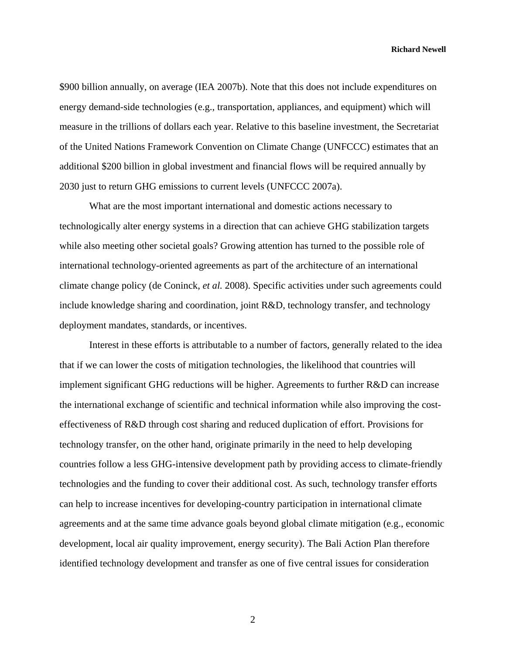\$900 billion annually, on average (IEA 2007b). Note that this does not include expenditures on energy demand-side technologies (e.g., transportation, appliances, and equipment) which will measure in the trillions of dollars each year. Relative to this baseline investment, the Secretariat of the United Nations Framework Convention on Climate Change (UNFCCC) estimates that an additional \$200 billion in global investment and financial flows will be required annually by 2030 just to return GHG emissions to current levels (UNFCCC 2007a).

What are the most important international and domestic actions necessary to technologically alter energy systems in a direction that can achieve GHG stabilization targets while also meeting other societal goals? Growing attention has turned to the possible role of international technology-oriented agreements as part of the architecture of an international climate change policy (de Coninck, *et al.* 2008). Specific activities under such agreements could include knowledge sharing and coordination, joint R&D, technology transfer, and technology deployment mandates, standards, or incentives.

Interest in these efforts is attributable to a number of factors, generally related to the idea that if we can lower the costs of mitigation technologies, the likelihood that countries will implement significant GHG reductions will be higher. Agreements to further R&D can increase the international exchange of scientific and technical information while also improving the costeffectiveness of R&D through cost sharing and reduced duplication of effort. Provisions for technology transfer, on the other hand, originate primarily in the need to help developing countries follow a less GHG-intensive development path by providing access to climate-friendly technologies and the funding to cover their additional cost. As such, technology transfer efforts can help to increase incentives for developing-country participation in international climate agreements and at the same time advance goals beyond global climate mitigation (e.g., economic development, local air quality improvement, energy security). The Bali Action Plan therefore identified technology development and transfer as one of five central issues for consideration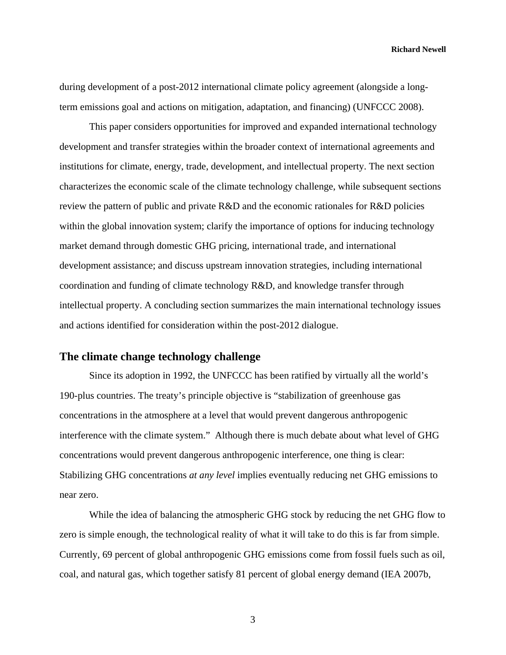<span id="page-5-0"></span>during development of a post-2012 international climate policy agreement (alongside a longterm emissions goal and actions on mitigation, adaptation, and financing) (UNFCCC 2008).

This paper considers opportunities for improved and expanded international technology development and transfer strategies within the broader context of international agreements and institutions for climate, energy, trade, development, and intellectual property. The next section characterizes the economic scale of the climate technology challenge, while subsequent sections review the pattern of public and private R&D and the economic rationales for R&D policies within the global innovation system; clarify the importance of options for inducing technology market demand through domestic GHG pricing, international trade, and international development assistance; and discuss upstream innovation strategies, including international coordination and funding of climate technology R&D, and knowledge transfer through intellectual property. A concluding section summarizes the main international technology issues and actions identified for consideration within the post-2012 dialogue.

#### **The climate change technology challenge**

Since its adoption in 1992, the UNFCCC has been ratified by virtually all the world's 190-plus countries. The treaty's principle objective is "stabilization of greenhouse gas concentrations in the atmosphere at a level that would prevent dangerous anthropogenic interference with the climate system." Although there is much debate about what level of GHG concentrations would prevent dangerous anthropogenic interference, one thing is clear: Stabilizing GHG concentrations *at any level* implies eventually reducing net GHG emissions to near zero.

While the idea of balancing the atmospheric GHG stock by reducing the net GHG flow to zero is simple enough, the technological reality of what it will take to do this is far from simple. Currently, 69 percent of global anthropogenic GHG emissions come from fossil fuels such as oil, coal, and natural gas, which together satisfy 81 percent of global energy demand (IEA 2007b,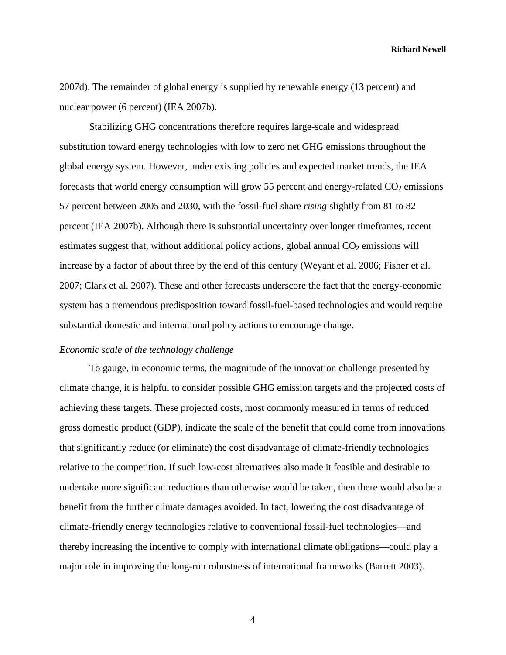<span id="page-6-0"></span>2007d). The remainder of global energy is supplied by renewable energy (13 percent) and nuclear power (6 percent) (IEA 2007b).

Stabilizing GHG concentrations therefore requires large-scale and widespread substitution toward energy technologies with low to zero net GHG emissions throughout the global energy system. However, under existing policies and expected market trends, the IEA forecasts that world energy consumption will grow 55 percent and energy-related  $CO<sub>2</sub>$  emissions 57 percent between 2005 and 2030, with the fossil-fuel share *rising* slightly from 81 to 82 percent (IEA 2007b). Although there is substantial uncertainty over longer timeframes, recent estimates suggest that, without additional policy actions, global annual  $CO<sub>2</sub>$  emissions will increase by a factor of about three by the end of this century (Weyant et al. 2006; Fisher et al. 2007; Clark et al. 2007). These and other forecasts underscore the fact that the energy-economic system has a tremendous predisposition toward fossil-fuel-based technologies and would require substantial domestic and international policy actions to encourage change.

#### *Economic scale of the technology challenge*

To gauge, in economic terms, the magnitude of the innovation challenge presented by climate change, it is helpful to consider possible GHG emission targets and the projected costs of achieving these targets. These projected costs, most commonly measured in terms of reduced gross domestic product (GDP), indicate the scale of the benefit that could come from innovations that significantly reduce (or eliminate) the cost disadvantage of climate-friendly technologies relative to the competition. If such low-cost alternatives also made it feasible and desirable to undertake more significant reductions than otherwise would be taken, then there would also be a benefit from the further climate damages avoided. In fact, lowering the cost disadvantage of climate-friendly energy technologies relative to conventional fossil-fuel technologies—and thereby increasing the incentive to comply with international climate obligations—could play a major role in improving the long-run robustness of international frameworks (Barrett 2003).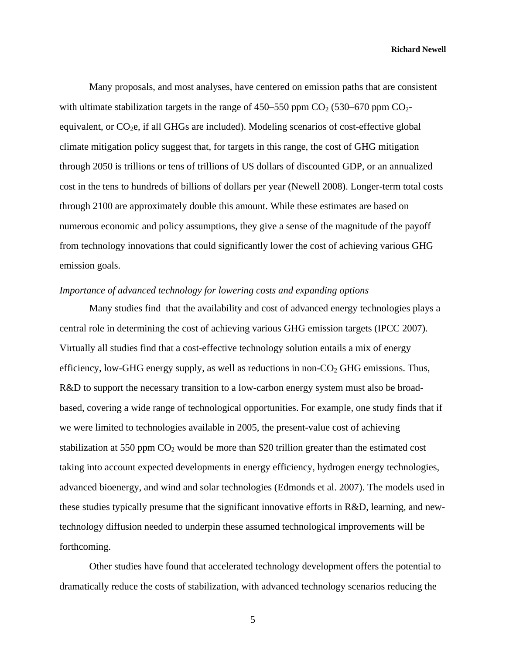<span id="page-7-0"></span>Many proposals, and most analyses, have centered on emission paths that are consistent with ultimate stabilization targets in the range of 450–550 ppm  $CO<sub>2</sub>$  (530–670 ppm  $CO<sub>2</sub>$ equivalent, or  $CO<sub>2</sub>e$ , if all GHGs are included). Modeling scenarios of cost-effective global climate mitigation policy suggest that, for targets in this range, the cost of GHG mitigation through 2050 is trillions or tens of trillions of US dollars of discounted GDP, or an annualized cost in the tens to hundreds of billions of dollars per year (Newell 2008). Longer-term total costs through 2100 are approximately double this amount. While these estimates are based on numerous economic and policy assumptions, they give a sense of the magnitude of the payoff from technology innovations that could significantly lower the cost of achieving various GHG emission goals.

#### *Importance of advanced technology for lowering costs and expanding options*

Many studies find that the availability and cost of advanced energy technologies plays a central role in determining the cost of achieving various GHG emission targets (IPCC 2007). Virtually all studies find that a cost-effective technology solution entails a mix of energy efficiency, low-GHG energy supply, as well as reductions in non- $CO<sub>2</sub>$  GHG emissions. Thus, R&D to support the necessary transition to a low-carbon energy system must also be broadbased, covering a wide range of technological opportunities. For example, one study finds that if we were limited to technologies available in 2005, the present-value cost of achieving stabilization at 550 ppm  $CO<sub>2</sub>$  would be more than \$20 trillion greater than the estimated cost taking into account expected developments in energy efficiency, hydrogen energy technologies, advanced bioenergy, and wind and solar technologies (Edmonds et al. 2007). The models used in these studies typically presume that the significant innovative efforts in R&D, learning, and newtechnology diffusion needed to underpin these assumed technological improvements will be forthcoming.

Other studies have found that accelerated technology development offers the potential to dramatically reduce the costs of stabilization, with advanced technology scenarios reducing the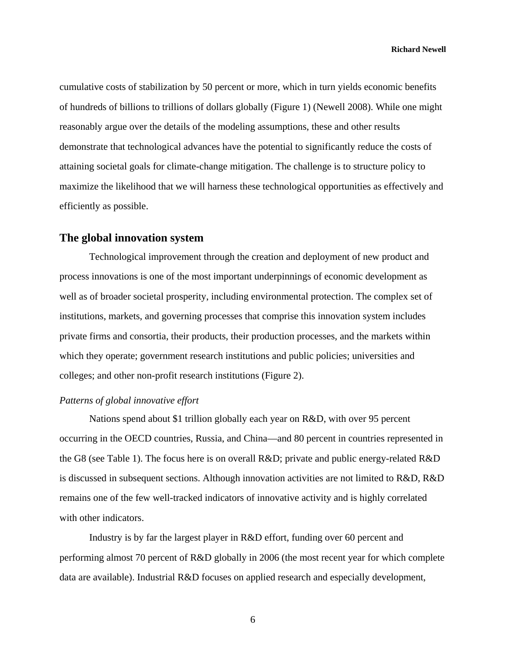<span id="page-8-0"></span>cumulative costs of stabilization by 50 percent or more, which in turn yields economic benefits of hundreds of billions to trillions of dollars globally ([Figure 1](#page-33-1)) (Newell 2008). While one might reasonably argue over the details of the modeling assumptions, these and other results demonstrate that technological advances have the potential to significantly reduce the costs of attaining societal goals for climate-change mitigation. The challenge is to structure policy to maximize the likelihood that we will harness these technological opportunities as effectively and efficiently as possible.

#### **The global innovation system**

Technological improvement through the creation and deployment of new product and process innovations is one of the most important underpinnings of economic development as well as of broader societal prosperity, including environmental protection. The complex set of institutions, markets, and governing processes that comprise this innovation system includes private firms and consortia, their products, their production processes, and the markets within which they operate; government research institutions and public policies; universities and colleges; and other non-profit research institutions ([Figure 2](#page-34-0)).

#### *Patterns of global innovative effort*

Nations spend about \$1 trillion globally each year on R&D, with over 95 percent occurring in the OECD countries, Russia, and China—and 80 percent in countries represented in the G8 (see [Table 1\)](#page-37-0). The focus here is on overall R&D; private and public energy-related R&D is discussed in subsequent sections. Although innovation activities are not limited to R&D, R&D remains one of the few well-tracked indicators of innovative activity and is highly correlated with other indicators.

Industry is by far the largest player in R&D effort, funding over 60 percent and performing almost 70 percent of R&D globally in 2006 (the most recent year for which complete data are available). Industrial R&D focuses on applied research and especially development,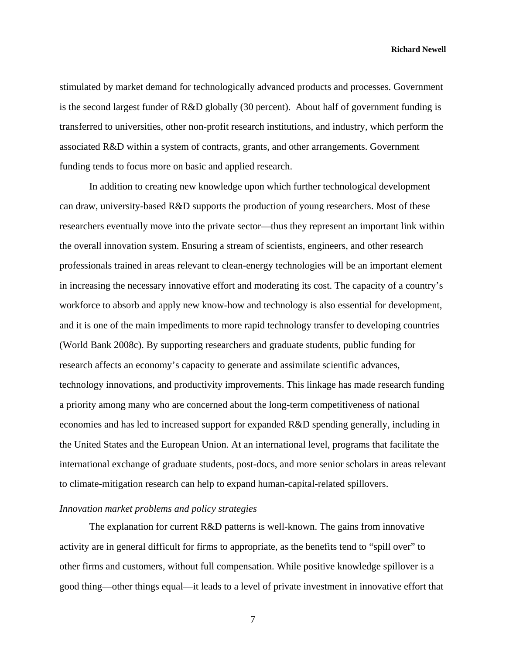<span id="page-9-0"></span>stimulated by market demand for technologically advanced products and processes. Government is the second largest funder of R&D globally (30 percent). About half of government funding is transferred to universities, other non-profit research institutions, and industry, which perform the associated R&D within a system of contracts, grants, and other arrangements. Government funding tends to focus more on basic and applied research.

In addition to creating new knowledge upon which further technological development can draw, university-based R&D supports the production of young researchers. Most of these researchers eventually move into the private sector—thus they represent an important link within the overall innovation system. Ensuring a stream of scientists, engineers, and other research professionals trained in areas relevant to clean-energy technologies will be an important element in increasing the necessary innovative effort and moderating its cost. The capacity of a country's workforce to absorb and apply new know-how and technology is also essential for development, and it is one of the main impediments to more rapid technology transfer to developing countries (World Bank 2008c). By supporting researchers and graduate students, public funding for research affects an economy's capacity to generate and assimilate scientific advances, technology innovations, and productivity improvements. This linkage has made research funding a priority among many who are concerned about the long-term competitiveness of national economies and has led to increased support for expanded R&D spending generally, including in the United States and the European Union. At an international level, programs that facilitate the international exchange of graduate students, post-docs, and more senior scholars in areas relevant to climate-mitigation research can help to expand human-capital-related spillovers.

#### *Innovation market problems and policy strategies*

The explanation for current R&D patterns is well-known. The gains from innovative activity are in general difficult for firms to appropriate, as the benefits tend to "spill over" to other firms and customers, without full compensation. While positive knowledge spillover is a good thing—other things equal—it leads to a level of private investment in innovative effort that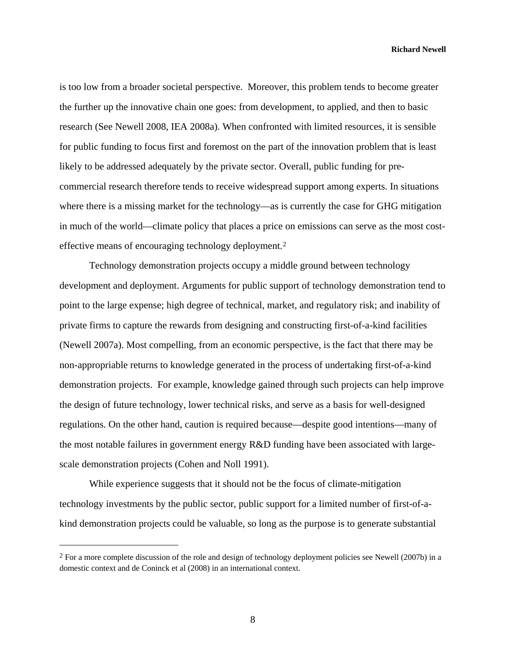is too low from a broader societal perspective. Moreover, this problem tends to become greater the further up the innovative chain one goes: from development, to applied, and then to basic research (See Newell 2008, IEA 2008a). When confronted with limited resources, it is sensible for public funding to focus first and foremost on the part of the innovation problem that is least likely to be addressed adequately by the private sector. Overall, public funding for precommercial research therefore tends to receive widespread support among experts. In situations where there is a missing market for the technology—as is currently the case for GHG mitigation in much of the world—climate policy that places a price on emissions can serve as the most costeffective means of encouraging technology deployment.[2](#page-10-0)

Technology demonstration projects occupy a middle ground between technology development and deployment. Arguments for public support of technology demonstration tend to point to the large expense; high degree of technical, market, and regulatory risk; and inability of private firms to capture the rewards from designing and constructing first-of-a-kind facilities (Newell 2007a). Most compelling, from an economic perspective, is the fact that there may be non-appropriable returns to knowledge generated in the process of undertaking first-of-a-kind demonstration projects. For example, knowledge gained through such projects can help improve the design of future technology, lower technical risks, and serve as a basis for well-designed regulations. On the other hand, caution is required because—despite good intentions—many of the most notable failures in government energy R&D funding have been associated with largescale demonstration projects (Cohen and Noll 1991).

While experience suggests that it should not be the focus of climate-mitigation technology investments by the public sector, public support for a limited number of first-of-akind demonstration projects could be valuable, so long as the purpose is to generate substantial

<u>.</u>

<span id="page-10-0"></span><sup>&</sup>lt;sup>2</sup> For a more complete discussion of the role and design of technology deployment policies see Newell (2007b) in a domestic context and de Coninck et al (2008) in an international context.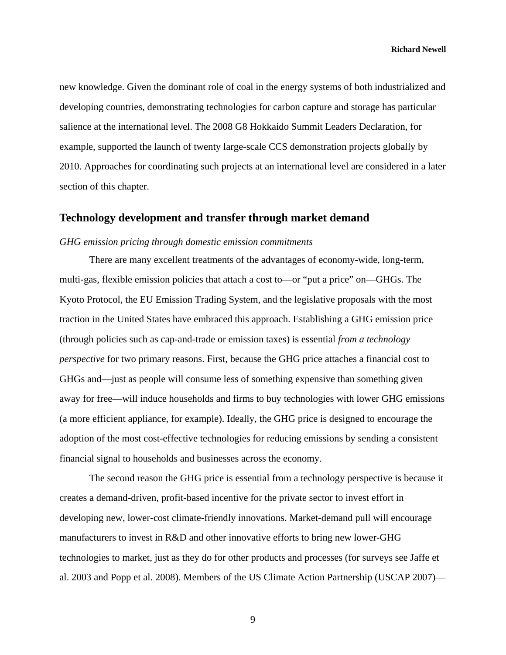<span id="page-11-0"></span>new knowledge. Given the dominant role of coal in the energy systems of both industrialized and developing countries, demonstrating technologies for carbon capture and storage has particular salience at the international level. The 2008 G8 Hokkaido Summit Leaders Declaration, for example, supported the launch of twenty large-scale CCS demonstration projects globally by 2010. Approaches for coordinating such projects at an international level are considered in a later section of this chapter.

#### **Technology development and transfer through market demand**

#### *GHG emission pricing through domestic emission commitments*

There are many excellent treatments of the advantages of economy-wide, long-term, multi-gas, flexible emission policies that attach a cost to—or "put a price" on—GHGs. The Kyoto Protocol, the EU Emission Trading System, and the legislative proposals with the most traction in the United States have embraced this approach. Establishing a GHG emission price (through policies such as cap-and-trade or emission taxes) is essential *from a technology perspective* for two primary reasons. First, because the GHG price attaches a financial cost to GHGs and—just as people will consume less of something expensive than something given away for free—will induce households and firms to buy technologies with lower GHG emissions (a more efficient appliance, for example). Ideally, the GHG price is designed to encourage the adoption of the most cost-effective technologies for reducing emissions by sending a consistent financial signal to households and businesses across the economy.

The second reason the GHG price is essential from a technology perspective is because it creates a demand-driven, profit-based incentive for the private sector to invest effort in developing new, lower-cost climate-friendly innovations. Market-demand pull will encourage manufacturers to invest in R&D and other innovative efforts to bring new lower-GHG technologies to market, just as they do for other products and processes (for surveys see Jaffe et al. 2003 and Popp et al. 2008). Members of the US Climate Action Partnership (USCAP 2007)—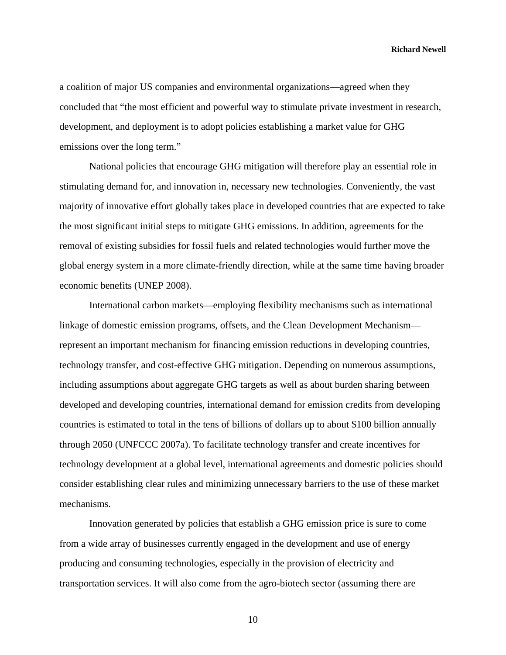a coalition of major US companies and environmental organizations—agreed when they concluded that "the most efficient and powerful way to stimulate private investment in research, development, and deployment is to adopt policies establishing a market value for GHG emissions over the long term."

National policies that encourage GHG mitigation will therefore play an essential role in stimulating demand for, and innovation in, necessary new technologies. Conveniently, the vast majority of innovative effort globally takes place in developed countries that are expected to take the most significant initial steps to mitigate GHG emissions. In addition, agreements for the removal of existing subsidies for fossil fuels and related technologies would further move the global energy system in a more climate-friendly direction, while at the same time having broader economic benefits (UNEP 2008).

International carbon markets—employing flexibility mechanisms such as international linkage of domestic emission programs, offsets, and the Clean Development Mechanism represent an important mechanism for financing emission reductions in developing countries, technology transfer, and cost-effective GHG mitigation. Depending on numerous assumptions, including assumptions about aggregate GHG targets as well as about burden sharing between developed and developing countries, international demand for emission credits from developing countries is estimated to total in the tens of billions of dollars up to about \$100 billion annually through 2050 (UNFCCC 2007a). To facilitate technology transfer and create incentives for technology development at a global level, international agreements and domestic policies should consider establishing clear rules and minimizing unnecessary barriers to the use of these market mechanisms.

Innovation generated by policies that establish a GHG emission price is sure to come from a wide array of businesses currently engaged in the development and use of energy producing and consuming technologies, especially in the provision of electricity and transportation services. It will also come from the agro-biotech sector (assuming there are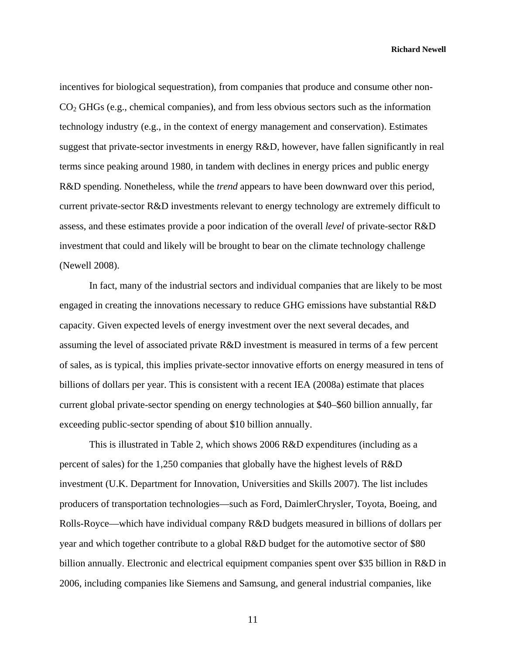incentives for biological sequestration), from companies that produce and consume other non-CO2 GHGs (e.g., chemical companies), and from less obvious sectors such as the information technology industry (e.g., in the context of energy management and conservation). Estimates suggest that private-sector investments in energy R&D, however, have fallen significantly in real terms since peaking around 1980, in tandem with declines in energy prices and public energy R&D spending. Nonetheless, while the *trend* appears to have been downward over this period, current private-sector R&D investments relevant to energy technology are extremely difficult to assess, and these estimates provide a poor indication of the overall *level* of private-sector R&D investment that could and likely will be brought to bear on the climate technology challenge (Newell 2008).

In fact, many of the industrial sectors and individual companies that are likely to be most engaged in creating the innovations necessary to reduce GHG emissions have substantial R&D capacity. Given expected levels of energy investment over the next several decades, and assuming the level of associated private R&D investment is measured in terms of a few percent of sales, as is typical, this implies private-sector innovative efforts on energy measured in tens of billions of dollars per year. This is consistent with a recent IEA (2008a) estimate that places current global private-sector spending on energy technologies at \$40–\$60 billion annually, far exceeding public-sector spending of about \$10 billion annually.

This is illustrated in [Table 2](#page-38-0), which shows 2006 R&D expenditures (including as a percent of sales) for the 1,250 companies that globally have the highest levels of R&D investment (U.K. Department for Innovation, Universities and Skills 2007). The list includes producers of transportation technologies—such as Ford, DaimlerChrysler, Toyota, Boeing, and Rolls-Royce—which have individual company R&D budgets measured in billions of dollars per year and which together contribute to a global R&D budget for the automotive sector of \$80 billion annually. Electronic and electrical equipment companies spent over \$35 billion in R&D in 2006, including companies like Siemens and Samsung, and general industrial companies, like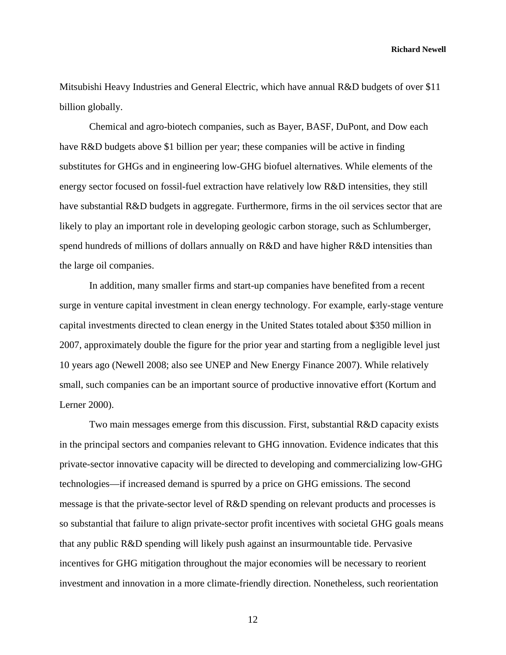Mitsubishi Heavy Industries and General Electric, which have annual R&D budgets of over \$11 billion globally.

Chemical and agro-biotech companies, such as Bayer, BASF, DuPont, and Dow each have R&D budgets above \$1 billion per year; these companies will be active in finding substitutes for GHGs and in engineering low-GHG biofuel alternatives. While elements of the energy sector focused on fossil-fuel extraction have relatively low R&D intensities, they still have substantial R&D budgets in aggregate. Furthermore, firms in the oil services sector that are likely to play an important role in developing geologic carbon storage, such as Schlumberger, spend hundreds of millions of dollars annually on R&D and have higher R&D intensities than the large oil companies.

In addition, many smaller firms and start-up companies have benefited from a recent surge in venture capital investment in clean energy technology. For example, early-stage venture capital investments directed to clean energy in the United States totaled about \$350 million in 2007, approximately double the figure for the prior year and starting from a negligible level just 10 years ago (Newell 2008; also see UNEP and New Energy Finance 2007). While relatively small, such companies can be an important source of productive innovative effort (Kortum and Lerner 2000).

Two main messages emerge from this discussion. First, substantial R&D capacity exists in the principal sectors and companies relevant to GHG innovation. Evidence indicates that this private-sector innovative capacity will be directed to developing and commercializing low-GHG technologies—if increased demand is spurred by a price on GHG emissions. The second message is that the private-sector level of R&D spending on relevant products and processes is so substantial that failure to align private-sector profit incentives with societal GHG goals means that any public R&D spending will likely push against an insurmountable tide. Pervasive incentives for GHG mitigation throughout the major economies will be necessary to reorient investment and innovation in a more climate-friendly direction. Nonetheless, such reorientation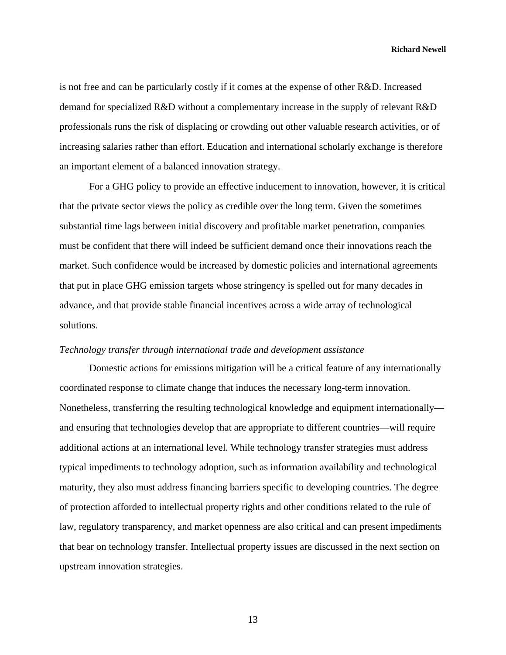<span id="page-15-0"></span>is not free and can be particularly costly if it comes at the expense of other R&D. Increased demand for specialized R&D without a complementary increase in the supply of relevant R&D professionals runs the risk of displacing or crowding out other valuable research activities, or of increasing salaries rather than effort. Education and international scholarly exchange is therefore an important element of a balanced innovation strategy.

For a GHG policy to provide an effective inducement to innovation, however, it is critical that the private sector views the policy as credible over the long term. Given the sometimes substantial time lags between initial discovery and profitable market penetration, companies must be confident that there will indeed be sufficient demand once their innovations reach the market. Such confidence would be increased by domestic policies and international agreements that put in place GHG emission targets whose stringency is spelled out for many decades in advance, and that provide stable financial incentives across a wide array of technological solutions.

#### *Technology transfer through international trade and development assistance*

Domestic actions for emissions mitigation will be a critical feature of any internationally coordinated response to climate change that induces the necessary long-term innovation. Nonetheless, transferring the resulting technological knowledge and equipment internationally and ensuring that technologies develop that are appropriate to different countries—will require additional actions at an international level. While technology transfer strategies must address typical impediments to technology adoption, such as information availability and technological maturity, they also must address financing barriers specific to developing countries. The degree of protection afforded to intellectual property rights and other conditions related to the rule of law, regulatory transparency, and market openness are also critical and can present impediments that bear on technology transfer. Intellectual property issues are discussed in the next section on upstream innovation strategies.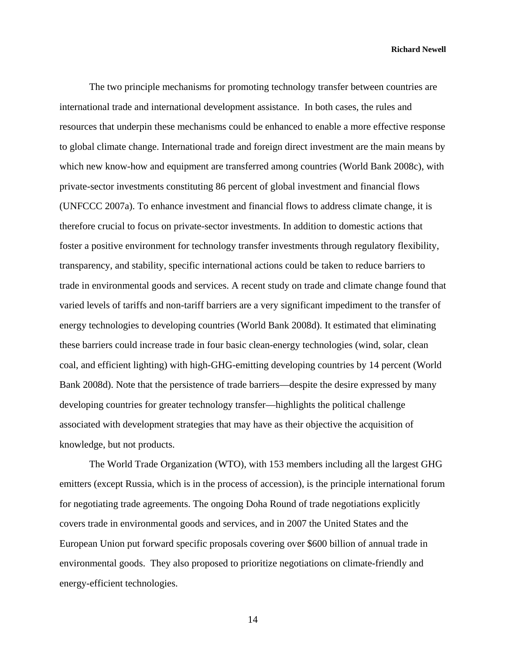The two principle mechanisms for promoting technology transfer between countries are international trade and international development assistance. In both cases, the rules and resources that underpin these mechanisms could be enhanced to enable a more effective response to global climate change. International trade and foreign direct investment are the main means by which new know-how and equipment are transferred among countries (World Bank 2008c), with private-sector investments constituting 86 percent of global investment and financial flows (UNFCCC 2007a). To enhance investment and financial flows to address climate change, it is therefore crucial to focus on private-sector investments. In addition to domestic actions that foster a positive environment for technology transfer investments through regulatory flexibility, transparency, and stability, specific international actions could be taken to reduce barriers to trade in environmental goods and services. A recent study on trade and climate change found that varied levels of tariffs and non-tariff barriers are a very significant impediment to the transfer of energy technologies to developing countries (World Bank 2008d). It estimated that eliminating these barriers could increase trade in four basic clean-energy technologies (wind, solar, clean coal, and efficient lighting) with high-GHG-emitting developing countries by 14 percent (World Bank 2008d). Note that the persistence of trade barriers—despite the desire expressed by many developing countries for greater technology transfer—highlights the political challenge associated with development strategies that may have as their objective the acquisition of knowledge, but not products.

The World Trade Organization (WTO), with 153 members including all the largest GHG emitters (except Russia, which is in the process of accession), is the principle international forum for negotiating trade agreements. The ongoing Doha Round of trade negotiations explicitly covers trade in environmental goods and services, and in 2007 the United States and the European Union put forward specific proposals covering over \$600 billion of annual trade in environmental goods. They also proposed to prioritize negotiations on climate-friendly and energy-efficient technologies.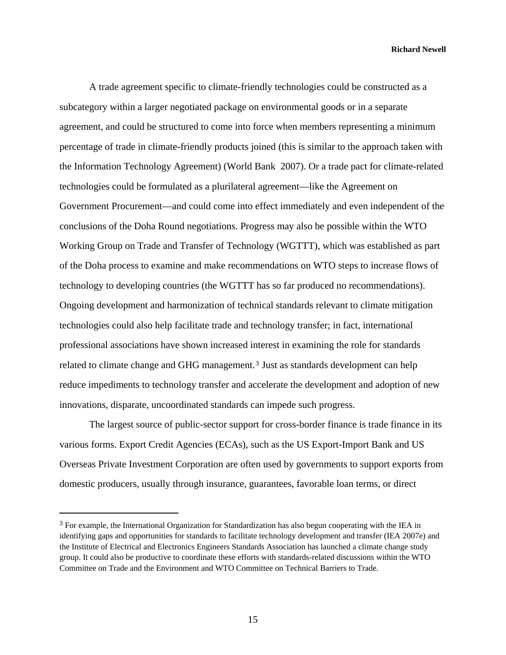A trade agreement specific to climate-friendly technologies could be constructed as a subcategory within a larger negotiated package on environmental goods or in a separate agreement, and could be structured to come into force when members representing a minimum percentage of trade in climate-friendly products joined (this is similar to the approach taken with the Information Technology Agreement) (World Bank 2007). Or a trade pact for climate-related technologies could be formulated as a plurilateral agreement—like the Agreement on Government Procurement—and could come into effect immediately and even independent of the conclusions of the Doha Round negotiations. Progress may also be possible within the WTO Working Group on Trade and Transfer of Technology (WGTTT), which was established as part of the Doha process to examine and make recommendations on WTO steps to increase flows of technology to developing countries (the WGTTT has so far produced no recommendations). Ongoing development and harmonization of technical standards relevant to climate mitigation technologies could also help facilitate trade and technology transfer; in fact, international professional associations have shown increased interest in examining the role for standards related to climate change and GHG management.[3](#page-17-0) Just as standards development can help reduce impediments to technology transfer and accelerate the development and adoption of new innovations, disparate, uncoordinated standards can impede such progress.

The largest source of public-sector support for cross-border finance is trade finance in its various forms. Export Credit Agencies (ECAs), such as the US Export-Import Bank and US Overseas Private Investment Corporation are often used by governments to support exports from domestic producers, usually through insurance, guarantees, favorable loan terms, or direct

 $\overline{a}$ 

<span id="page-17-0"></span><sup>3</sup> For example, the International Organization for Standardization has also begun cooperating with the IEA in identifying gaps and opportunities for standards to facilitate technology development and transfer (IEA 2007e) and the Institute of Electrical and Electronics Engineers Standards Association has launched a climate change study group. It could also be productive to coordinate these efforts with standards-related discussions within the WTO Committee on Trade and the Environment and WTO Committee on Technical Barriers to Trade.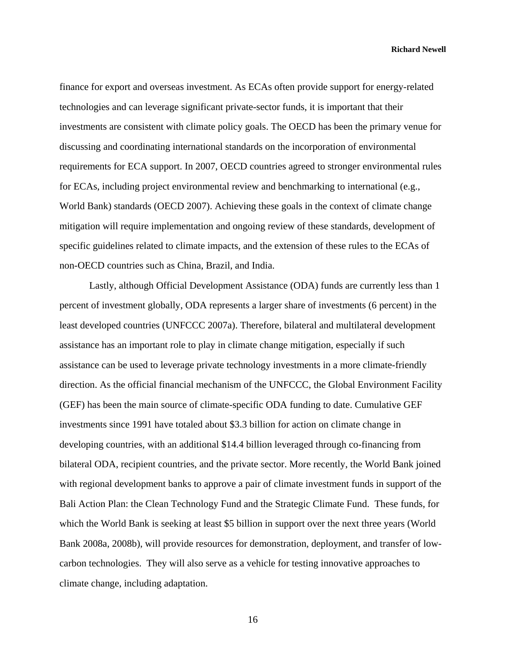finance for export and overseas investment. As ECAs often provide support for energy-related technologies and can leverage significant private-sector funds, it is important that their investments are consistent with climate policy goals. The OECD has been the primary venue for discussing and coordinating international standards on the incorporation of environmental requirements for ECA support. In 2007, OECD countries agreed to stronger environmental rules for ECAs, including project environmental review and benchmarking to international (e.g., World Bank) standards (OECD 2007). Achieving these goals in the context of climate change mitigation will require implementation and ongoing review of these standards, development of specific guidelines related to climate impacts, and the extension of these rules to the ECAs of non-OECD countries such as China, Brazil, and India.

Lastly, although Official Development Assistance (ODA) funds are currently less than 1 percent of investment globally, ODA represents a larger share of investments (6 percent) in the least developed countries (UNFCCC 2007a). Therefore, bilateral and multilateral development assistance has an important role to play in climate change mitigation, especially if such assistance can be used to leverage private technology investments in a more climate-friendly direction. As the official financial mechanism of the UNFCCC, the Global Environment Facility (GEF) has been the main source of climate-specific ODA funding to date. Cumulative GEF investments since 1991 have totaled about \$3.3 billion for action on climate change in developing countries, with an additional \$14.4 billion leveraged through co-financing from bilateral ODA, recipient countries, and the private sector. More recently, the World Bank joined with regional development banks to approve a pair of climate investment funds in support of the Bali Action Plan: the Clean Technology Fund and the Strategic Climate Fund. These funds, for which the World Bank is seeking at least \$5 billion in support over the next three years (World Bank 2008a, 2008b), will provide resources for demonstration, deployment, and transfer of lowcarbon technologies. They will also serve as a vehicle for testing innovative approaches to climate change, including adaptation.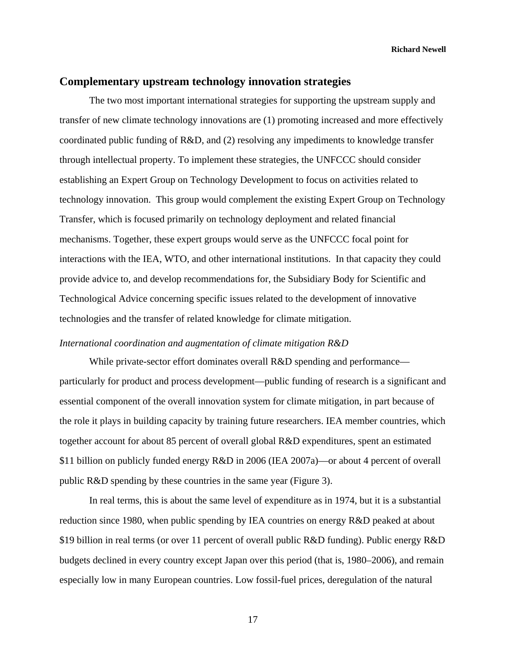#### <span id="page-19-0"></span>**Complementary upstream technology innovation strategies**

The two most important international strategies for supporting the upstream supply and transfer of new climate technology innovations are (1) promoting increased and more effectively coordinated public funding of R&D, and (2) resolving any impediments to knowledge transfer through intellectual property. To implement these strategies, the UNFCCC should consider establishing an Expert Group on Technology Development to focus on activities related to technology innovation. This group would complement the existing Expert Group on Technology Transfer, which is focused primarily on technology deployment and related financial mechanisms. Together, these expert groups would serve as the UNFCCC focal point for interactions with the IEA, WTO, and other international institutions. In that capacity they could provide advice to, and develop recommendations for, the Subsidiary Body for Scientific and Technological Advice concerning specific issues related to the development of innovative technologies and the transfer of related knowledge for climate mitigation.

#### *International coordination and augmentation of climate mitigation R&D*

While private-sector effort dominates overall R&D spending and performance particularly for product and process development—public funding of research is a significant and essential component of the overall innovation system for climate mitigation, in part because of the role it plays in building capacity by training future researchers. IEA member countries, which together account for about 85 percent of overall global R&D expenditures, spent an estimated \$11 billion on publicly funded energy R&D in 2006 (IEA 2007a)—or about 4 percent of overall public R&D spending by these countries in the same year [\(Figure 3\)](#page-35-0).

In real terms, this is about the same level of expenditure as in 1974, but it is a substantial reduction since 1980, when public spending by IEA countries on energy R&D peaked at about \$19 billion in real terms (or over 11 percent of overall public R&D funding). Public energy R&D budgets declined in every country except Japan over this period (that is, 1980–2006), and remain especially low in many European countries. Low fossil-fuel prices, deregulation of the natural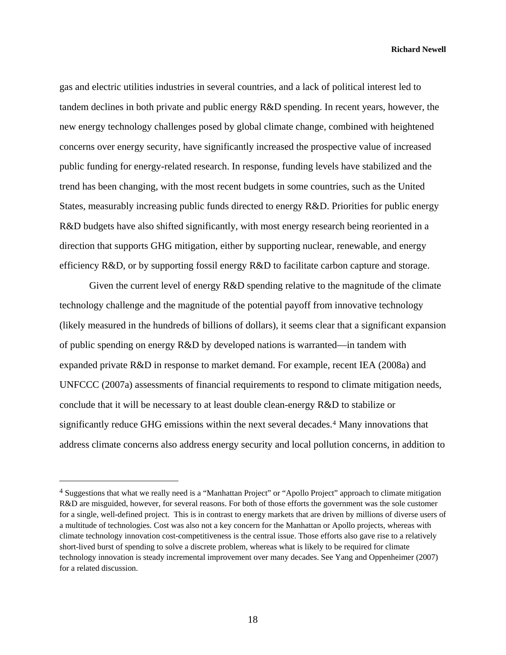gas and electric utilities industries in several countries, and a lack of political interest led to tandem declines in both private and public energy R&D spending. In recent years, however, the new energy technology challenges posed by global climate change, combined with heightened concerns over energy security, have significantly increased the prospective value of increased public funding for energy-related research. In response, funding levels have stabilized and the trend has been changing, with the most recent budgets in some countries, such as the United States, measurably increasing public funds directed to energy R&D. Priorities for public energy R&D budgets have also shifted significantly, with most energy research being reoriented in a direction that supports GHG mitigation, either by supporting nuclear, renewable, and energy efficiency R&D, or by supporting fossil energy R&D to facilitate carbon capture and storage.

Given the current level of energy R&D spending relative to the magnitude of the climate technology challenge and the magnitude of the potential payoff from innovative technology (likely measured in the hundreds of billions of dollars), it seems clear that a significant expansion of public spending on energy R&D by developed nations is warranted—in tandem with expanded private R&D in response to market demand. For example, recent IEA (2008a) and UNFCCC (2007a) assessments of financial requirements to respond to climate mitigation needs, conclude that it will be necessary to at least double clean-energy R&D to stabilize or significantly reduce GHG emissions within the next several decades.[4](#page-20-0) Many innovations that address climate concerns also address energy security and local pollution concerns, in addition to

 $\overline{a}$ 

<span id="page-20-0"></span><sup>4</sup> Suggestions that what we really need is a "Manhattan Project" or "Apollo Project" approach to climate mitigation R&D are misguided, however, for several reasons. For both of those efforts the government was the sole customer for a single, well-defined project. This is in contrast to energy markets that are driven by millions of diverse users of a multitude of technologies. Cost was also not a key concern for the Manhattan or Apollo projects, whereas with climate technology innovation cost-competitiveness is the central issue. Those efforts also gave rise to a relatively short-lived burst of spending to solve a discrete problem, whereas what is likely to be required for climate technology innovation is steady incremental improvement over many decades. See Yang and Oppenheimer (2007) for a related discussion.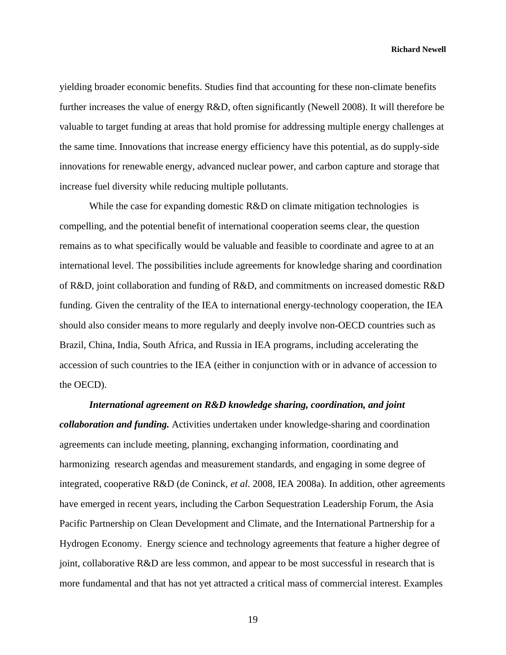yielding broader economic benefits. Studies find that accounting for these non-climate benefits further increases the value of energy R&D, often significantly (Newell 2008). It will therefore be valuable to target funding at areas that hold promise for addressing multiple energy challenges at the same time. Innovations that increase energy efficiency have this potential, as do supply-side innovations for renewable energy, advanced nuclear power, and carbon capture and storage that increase fuel diversity while reducing multiple pollutants.

While the case for expanding domestic R&D on climate mitigation technologies is compelling, and the potential benefit of international cooperation seems clear, the question remains as to what specifically would be valuable and feasible to coordinate and agree to at an international level. The possibilities include agreements for knowledge sharing and coordination of R&D, joint collaboration and funding of R&D, and commitments on increased domestic R&D funding. Given the centrality of the IEA to international energy-technology cooperation, the IEA should also consider means to more regularly and deeply involve non-OECD countries such as Brazil, China, India, South Africa, and Russia in IEA programs, including accelerating the accession of such countries to the IEA (either in conjunction with or in advance of accession to the OECD).

# *International agreement on R&D knowledge sharing, coordination, and joint collaboration and funding.* Activities undertaken under knowledge-sharing and coordination agreements can include meeting, planning, exchanging information, coordinating and harmonizing research agendas and measurement standards, and engaging in some degree of integrated, cooperative R&D (de Coninck, *et al.* 2008, IEA 2008a). In addition, other agreements have emerged in recent years, including the Carbon Sequestration Leadership Forum, the Asia Pacific Partnership on Clean Development and Climate, and the International Partnership for a Hydrogen Economy. Energy science and technology agreements that feature a higher degree of joint, collaborative R&D are less common, and appear to be most successful in research that is more fundamental and that has not yet attracted a critical mass of commercial interest. Examples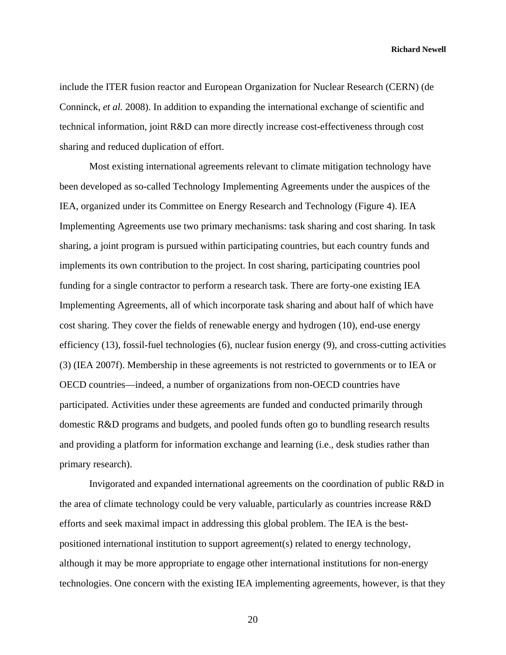include the ITER fusion reactor and European Organization for Nuclear Research (CERN) (de Conninck, *et al.* 2008). In addition to expanding the international exchange of scientific and technical information, joint R&D can more directly increase cost-effectiveness through cost sharing and reduced duplication of effort.

Most existing international agreements relevant to climate mitigation technology have been developed as so-called Technology Implementing Agreements under the auspices of the IEA, organized under its Committee on Energy Research and Technology ([Figure 4\)](#page-36-0). IEA Implementing Agreements use two primary mechanisms: task sharing and cost sharing. In task sharing, a joint program is pursued within participating countries, but each country funds and implements its own contribution to the project. In cost sharing, participating countries pool funding for a single contractor to perform a research task. There are forty-one existing IEA Implementing Agreements, all of which incorporate task sharing and about half of which have cost sharing. They cover the fields of renewable energy and hydrogen (10), end-use energy efficiency (13), fossil-fuel technologies (6), nuclear fusion energy (9), and cross-cutting activities (3) (IEA 2007f). Membership in these agreements is not restricted to governments or to IEA or OECD countries—indeed, a number of organizations from non-OECD countries have participated. Activities under these agreements are funded and conducted primarily through domestic R&D programs and budgets, and pooled funds often go to bundling research results and providing a platform for information exchange and learning (i.e., desk studies rather than primary research).

Invigorated and expanded international agreements on the coordination of public R&D in the area of climate technology could be very valuable, particularly as countries increase R&D efforts and seek maximal impact in addressing this global problem. The IEA is the bestpositioned international institution to support agreement(s) related to energy technology, although it may be more appropriate to engage other international institutions for non-energy technologies. One concern with the existing IEA implementing agreements, however, is that they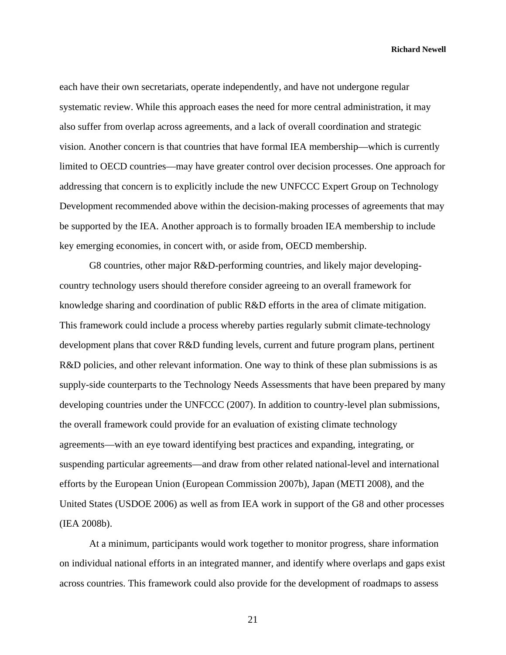each have their own secretariats, operate independently, and have not undergone regular systematic review. While this approach eases the need for more central administration, it may also suffer from overlap across agreements, and a lack of overall coordination and strategic vision. Another concern is that countries that have formal IEA membership—which is currently limited to OECD countries—may have greater control over decision processes. One approach for addressing that concern is to explicitly include the new UNFCCC Expert Group on Technology Development recommended above within the decision-making processes of agreements that may be supported by the IEA. Another approach is to formally broaden IEA membership to include key emerging economies, in concert with, or aside from, OECD membership.

G8 countries, other major R&D-performing countries, and likely major developingcountry technology users should therefore consider agreeing to an overall framework for knowledge sharing and coordination of public R&D efforts in the area of climate mitigation. This framework could include a process whereby parties regularly submit climate-technology development plans that cover R&D funding levels, current and future program plans, pertinent R&D policies, and other relevant information. One way to think of these plan submissions is as supply-side counterparts to the Technology Needs Assessments that have been prepared by many developing countries under the UNFCCC (2007). In addition to country-level plan submissions, the overall framework could provide for an evaluation of existing climate technology agreements—with an eye toward identifying best practices and expanding, integrating, or suspending particular agreements—and draw from other related national-level and international efforts by the European Union (European Commission 2007b), Japan (METI 2008), and the United States (USDOE 2006) as well as from IEA work in support of the G8 and other processes (IEA 2008b).

At a minimum, participants would work together to monitor progress, share information on individual national efforts in an integrated manner, and identify where overlaps and gaps exist across countries. This framework could also provide for the development of roadmaps to assess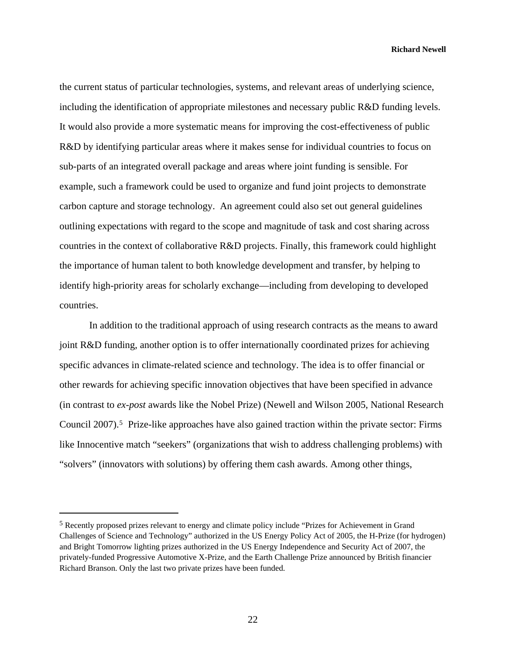the current status of particular technologies, systems, and relevant areas of underlying science, including the identification of appropriate milestones and necessary public R&D funding levels. It would also provide a more systematic means for improving the cost-effectiveness of public R&D by identifying particular areas where it makes sense for individual countries to focus on sub-parts of an integrated overall package and areas where joint funding is sensible. For example, such a framework could be used to organize and fund joint projects to demonstrate carbon capture and storage technology. An agreement could also set out general guidelines outlining expectations with regard to the scope and magnitude of task and cost sharing across countries in the context of collaborative R&D projects. Finally, this framework could highlight the importance of human talent to both knowledge development and transfer, by helping to identify high-priority areas for scholarly exchange—including from developing to developed countries.

In addition to the traditional approach of using research contracts as the means to award joint R&D funding, another option is to offer internationally coordinated prizes for achieving specific advances in climate-related science and technology. The idea is to offer financial or other rewards for achieving specific innovation objectives that have been specified in advance (in contrast to *ex-post* awards like the Nobel Prize) (Newell and Wilson 2005, National Research Council 2007)[.5](#page-24-0) Prize-like approaches have also gained traction within the private sector: Firms like Innocentive match "seekers" (organizations that wish to address challenging problems) with "solvers" (innovators with solutions) by offering them cash awards. Among other things,

<u>.</u>

<span id="page-24-0"></span><sup>5</sup> Recently proposed prizes relevant to energy and climate policy include "Prizes for Achievement in Grand Challenges of Science and Technology" authorized in the US Energy Policy Act of 2005, the H-Prize (for hydrogen) and Bright Tomorrow lighting prizes authorized in the US Energy Independence and Security Act of 2007, the privately-funded Progressive Automotive X-Prize, and the Earth Challenge Prize announced by British financier Richard Branson. Only the last two private prizes have been funded.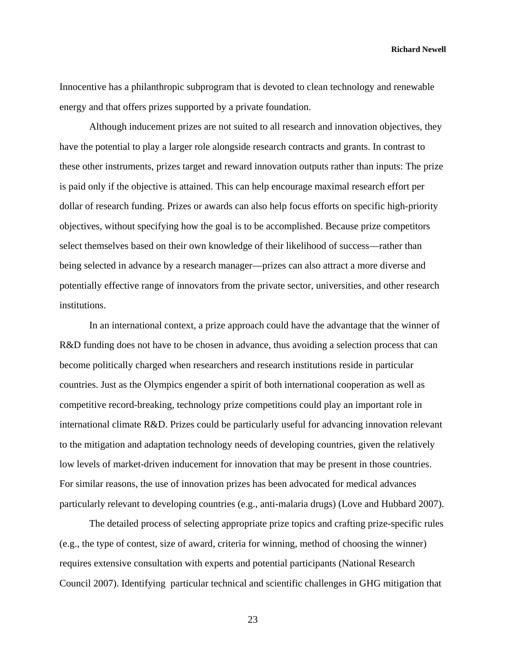Innocentive has a philanthropic subprogram that is devoted to clean technology and renewable energy and that offers prizes supported by a private foundation.

Although inducement prizes are not suited to all research and innovation objectives, they have the potential to play a larger role alongside research contracts and grants. In contrast to these other instruments, prizes target and reward innovation outputs rather than inputs: The prize is paid only if the objective is attained. This can help encourage maximal research effort per dollar of research funding. Prizes or awards can also help focus efforts on specific high-priority objectives, without specifying how the goal is to be accomplished. Because prize competitors select themselves based on their own knowledge of their likelihood of success—rather than being selected in advance by a research manager—prizes can also attract a more diverse and potentially effective range of innovators from the private sector, universities, and other research institutions.

In an international context, a prize approach could have the advantage that the winner of R&D funding does not have to be chosen in advance, thus avoiding a selection process that can become politically charged when researchers and research institutions reside in particular countries. Just as the Olympics engender a spirit of both international cooperation as well as competitive record-breaking, technology prize competitions could play an important role in international climate R&D. Prizes could be particularly useful for advancing innovation relevant to the mitigation and adaptation technology needs of developing countries, given the relatively low levels of market-driven inducement for innovation that may be present in those countries. For similar reasons, the use of innovation prizes has been advocated for medical advances particularly relevant to developing countries (e.g., anti-malaria drugs) (Love and Hubbard 2007).

The detailed process of selecting appropriate prize topics and crafting prize-specific rules (e.g., the type of contest, size of award, criteria for winning, method of choosing the winner) requires extensive consultation with experts and potential participants (National Research Council 2007). Identifying particular technical and scientific challenges in GHG mitigation that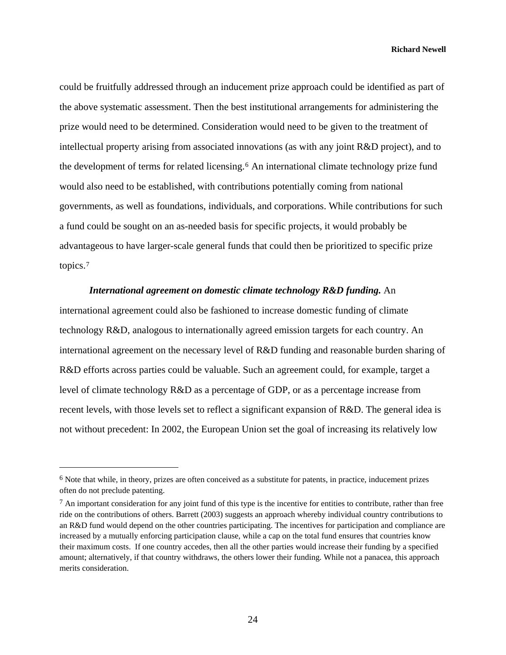could be fruitfully addressed through an inducement prize approach could be identified as part of the above systematic assessment. Then the best institutional arrangements for administering the prize would need to be determined. Consideration would need to be given to the treatment of intellectual property arising from associated innovations (as with any joint R&D project), and to the development of terms for related licensing.<sup>[6](#page-26-0)</sup> An international climate technology prize fund would also need to be established, with contributions potentially coming from national governments, as well as foundations, individuals, and corporations. While contributions for such a fund could be sought on an as-needed basis for specific projects, it would probably be advantageous to have larger-scale general funds that could then be prioritized to specific prize topics.[7](#page-26-1)

#### *International agreement on domestic climate technology R&D funding.* An

international agreement could also be fashioned to increase domestic funding of climate technology R&D, analogous to internationally agreed emission targets for each country. An international agreement on the necessary level of R&D funding and reasonable burden sharing of R&D efforts across parties could be valuable. Such an agreement could, for example, target a level of climate technology R&D as a percentage of GDP, or as a percentage increase from recent levels, with those levels set to reflect a significant expansion of R&D. The general idea is not without precedent: In 2002, the European Union set the goal of increasing its relatively low

<span id="page-26-0"></span><sup>6</sup> Note that while, in theory, prizes are often conceived as a substitute for patents, in practice, inducement prizes often do not preclude patenting.

<span id="page-26-1"></span> $<sup>7</sup>$  An important consideration for any joint fund of this type is the incentive for entities to contribute, rather than free</sup> ride on the contributions of others. Barrett (2003) suggests an approach whereby individual country contributions to an R&D fund would depend on the other countries participating. The incentives for participation and compliance are increased by a mutually enforcing participation clause, while a cap on the total fund ensures that countries know their maximum costs. If one country accedes, then all the other parties would increase their funding by a specified amount; alternatively, if that country withdraws, the others lower their funding. While not a panacea, this approach merits consideration.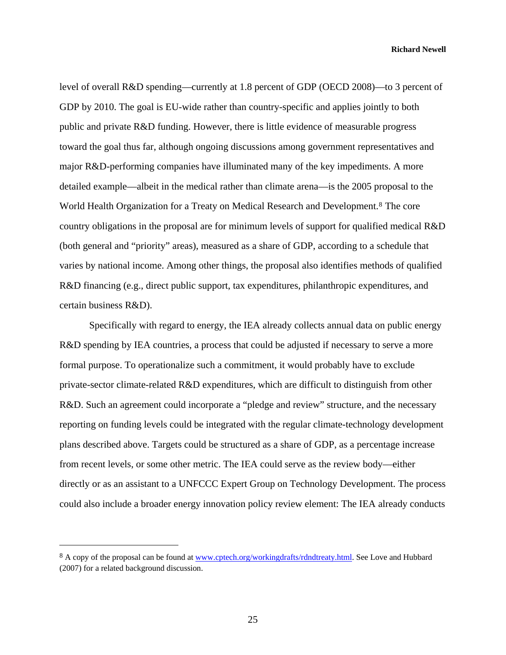level of overall R&D spending—currently at 1.8 percent of GDP (OECD 2008)—to 3 percent of GDP by 2010. The goal is EU-wide rather than country-specific and applies jointly to both public and private R&D funding. However, there is little evidence of measurable progress toward the goal thus far, although ongoing discussions among government representatives and major R&D-performing companies have illuminated many of the key impediments. A more detailed example—albeit in the medical rather than climate arena—is the 2005 proposal to the World Health Organization for a Treaty on Medical Research and Development.[8](#page-27-0) The core country obligations in the proposal are for minimum levels of support for qualified medical R&D (both general and "priority" areas), measured as a share of GDP, according to a schedule that varies by national income. Among other things, the proposal also identifies methods of qualified R&D financing (e.g., direct public support, tax expenditures, philanthropic expenditures, and certain business R&D).

Specifically with regard to energy, the IEA already collects annual data on public energy R&D spending by IEA countries, a process that could be adjusted if necessary to serve a more formal purpose. To operationalize such a commitment, it would probably have to exclude private-sector climate-related R&D expenditures, which are difficult to distinguish from other R&D. Such an agreement could incorporate a "pledge and review" structure, and the necessary reporting on funding levels could be integrated with the regular climate-technology development plans described above. Targets could be structured as a share of GDP, as a percentage increase from recent levels, or some other metric. The IEA could serve as the review body—either directly or as an assistant to a UNFCCC Expert Group on Technology Development. The process could also include a broader energy innovation policy review element: The IEA already conducts

 $\overline{a}$ 

<span id="page-27-0"></span><sup>8</sup> A copy of the proposal can be found at [www.cptech.org/workingdrafts/rdndtreaty.html](http://www.cptech.org/workingdrafts/rdndtreaty.html). See Love and Hubbard (2007) for a related background discussion.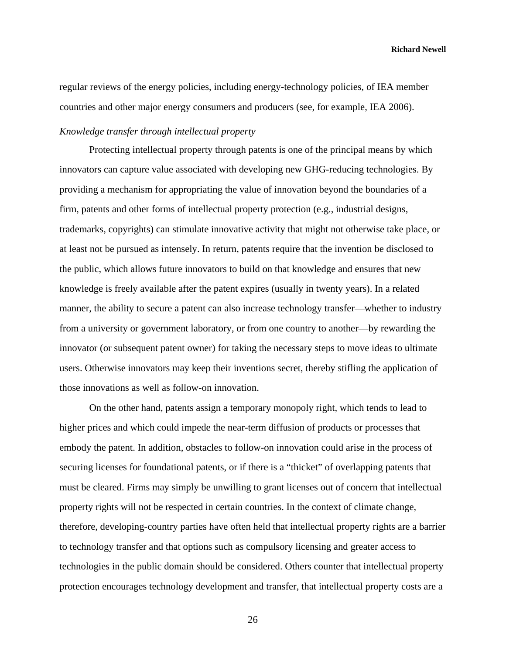<span id="page-28-0"></span>regular reviews of the energy policies, including energy-technology policies, of IEA member countries and other major energy consumers and producers (see, for example, IEA 2006).

#### *Knowledge transfer through intellectual property*

Protecting intellectual property through patents is one of the principal means by which innovators can capture value associated with developing new GHG-reducing technologies. By providing a mechanism for appropriating the value of innovation beyond the boundaries of a firm, patents and other forms of intellectual property protection (e.g., industrial designs, trademarks, copyrights) can stimulate innovative activity that might not otherwise take place, or at least not be pursued as intensely. In return, patents require that the invention be disclosed to the public, which allows future innovators to build on that knowledge and ensures that new knowledge is freely available after the patent expires (usually in twenty years). In a related manner, the ability to secure a patent can also increase technology transfer—whether to industry from a university or government laboratory, or from one country to another—by rewarding the innovator (or subsequent patent owner) for taking the necessary steps to move ideas to ultimate users. Otherwise innovators may keep their inventions secret, thereby stifling the application of those innovations as well as follow-on innovation.

On the other hand, patents assign a temporary monopoly right, which tends to lead to higher prices and which could impede the near-term diffusion of products or processes that embody the patent. In addition, obstacles to follow-on innovation could arise in the process of securing licenses for foundational patents, or if there is a "thicket" of overlapping patents that must be cleared. Firms may simply be unwilling to grant licenses out of concern that intellectual property rights will not be respected in certain countries. In the context of climate change, therefore, developing-country parties have often held that intellectual property rights are a barrier to technology transfer and that options such as compulsory licensing and greater access to technologies in the public domain should be considered. Others counter that intellectual property protection encourages technology development and transfer, that intellectual property costs are a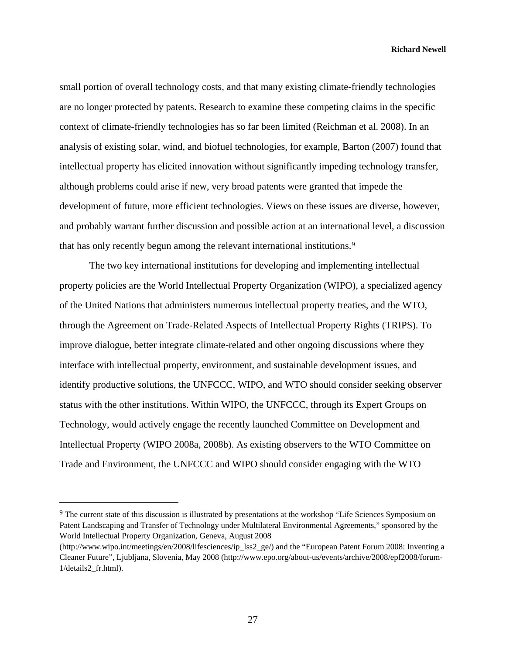small portion of overall technology costs, and that many existing climate-friendly technologies are no longer protected by patents. Research to examine these competing claims in the specific context of climate-friendly technologies has so far been limited (Reichman et al. 2008). In an analysis of existing solar, wind, and biofuel technologies, for example, Barton (2007) found that intellectual property has elicited innovation without significantly impeding technology transfer, although problems could arise if new, very broad patents were granted that impede the development of future, more efficient technologies. Views on these issues are diverse, however, and probably warrant further discussion and possible action at an international level, a discussion that has only recently begun among the relevant international institutions.[9](#page-29-0)

The two key international institutions for developing and implementing intellectual property policies are the World Intellectual Property Organization (WIPO), a specialized agency of the United Nations that administers numerous intellectual property treaties, and the WTO, through the Agreement on Trade-Related Aspects of Intellectual Property Rights (TRIPS). To improve dialogue, better integrate climate-related and other ongoing discussions where they interface with intellectual property, environment, and sustainable development issues, and identify productive solutions, the UNFCCC, WIPO, and WTO should consider seeking observer status with the other institutions. Within WIPO, the UNFCCC, through its Expert Groups on Technology, would actively engage the recently launched Committee on Development and Intellectual Property (WIPO 2008a, 2008b). As existing observers to the WTO Committee on Trade and Environment, the UNFCCC and WIPO should consider engaging with the WTO

<span id="page-29-0"></span><sup>&</sup>lt;sup>9</sup> The current state of this discussion is illustrated by presentations at the workshop "Life Sciences Symposium on Patent Landscaping and Transfer of Technology under Multilateral Environmental Agreements," sponsored by the World Intellectual Property Organization, Geneva, August 2008

<sup>(</sup>http://www.wipo.int/meetings/en/2008/lifesciences/ip\_lss2\_ge/) and the "European Patent Forum 2008: Inventing a Cleaner Future", Ljubljana, Slovenia, May 2008 (http://www.epo.org/about-us/events/archive/2008/epf2008/forum-1/details2\_fr.html).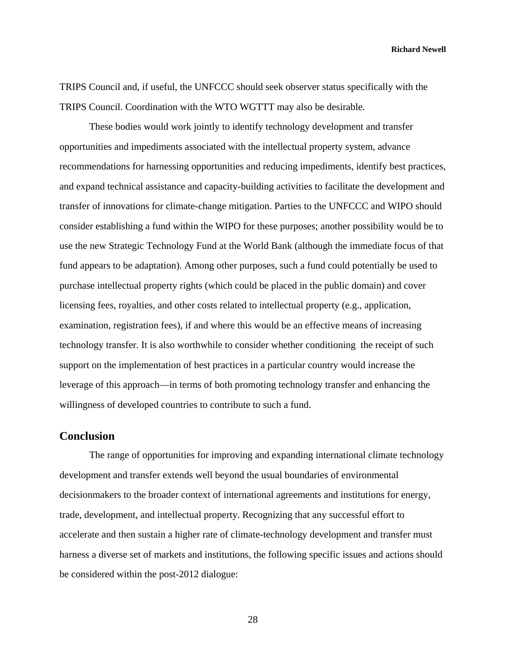<span id="page-30-0"></span>TRIPS Council and, if useful, the UNFCCC should seek observer status specifically with the TRIPS Council. Coordination with the WTO WGTTT may also be desirable.

These bodies would work jointly to identify technology development and transfer opportunities and impediments associated with the intellectual property system, advance recommendations for harnessing opportunities and reducing impediments, identify best practices, and expand technical assistance and capacity-building activities to facilitate the development and transfer of innovations for climate-change mitigation. Parties to the UNFCCC and WIPO should consider establishing a fund within the WIPO for these purposes; another possibility would be to use the new Strategic Technology Fund at the World Bank (although the immediate focus of that fund appears to be adaptation). Among other purposes, such a fund could potentially be used to purchase intellectual property rights (which could be placed in the public domain) and cover licensing fees, royalties, and other costs related to intellectual property (e.g., application, examination, registration fees), if and where this would be an effective means of increasing technology transfer. It is also worthwhile to consider whether conditioning the receipt of such support on the implementation of best practices in a particular country would increase the leverage of this approach—in terms of both promoting technology transfer and enhancing the willingness of developed countries to contribute to such a fund.

#### **Conclusion**

The range of opportunities for improving and expanding international climate technology development and transfer extends well beyond the usual boundaries of environmental decisionmakers to the broader context of international agreements and institutions for energy, trade, development, and intellectual property. Recognizing that any successful effort to accelerate and then sustain a higher rate of climate-technology development and transfer must harness a diverse set of markets and institutions, the following specific issues and actions should be considered within the post-2012 dialogue: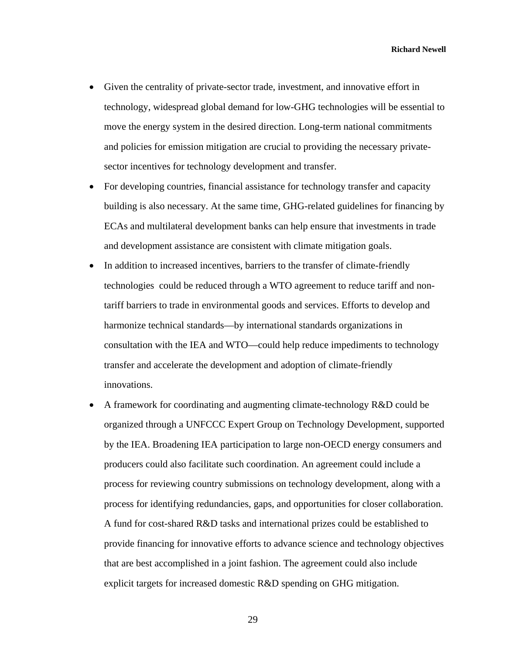- Given the centrality of private-sector trade, investment, and innovative effort in technology, widespread global demand for low-GHG technologies will be essential to move the energy system in the desired direction. Long-term national commitments and policies for emission mitigation are crucial to providing the necessary privatesector incentives for technology development and transfer.
- For developing countries, financial assistance for technology transfer and capacity building is also necessary. At the same time, GHG-related guidelines for financing by ECAs and multilateral development banks can help ensure that investments in trade and development assistance are consistent with climate mitigation goals.
- In addition to increased incentives, barriers to the transfer of climate-friendly technologies could be reduced through a WTO agreement to reduce tariff and nontariff barriers to trade in environmental goods and services. Efforts to develop and harmonize technical standards—by international standards organizations in consultation with the IEA and WTO—could help reduce impediments to technology transfer and accelerate the development and adoption of climate-friendly innovations.
- A framework for coordinating and augmenting climate-technology R&D could be organized through a UNFCCC Expert Group on Technology Development, supported by the IEA. Broadening IEA participation to large non-OECD energy consumers and producers could also facilitate such coordination. An agreement could include a process for reviewing country submissions on technology development, along with a process for identifying redundancies, gaps, and opportunities for closer collaboration. A fund for cost-shared R&D tasks and international prizes could be established to provide financing for innovative efforts to advance science and technology objectives that are best accomplished in a joint fashion. The agreement could also include explicit targets for increased domestic R&D spending on GHG mitigation.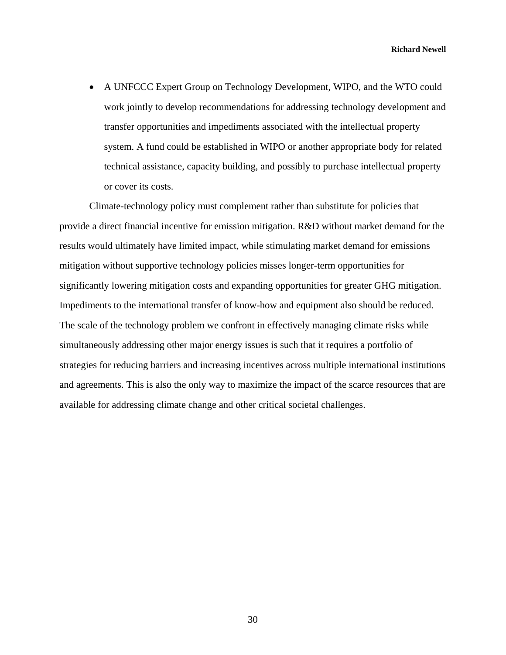• A UNFCCC Expert Group on Technology Development, WIPO, and the WTO could work jointly to develop recommendations for addressing technology development and transfer opportunities and impediments associated with the intellectual property system. A fund could be established in WIPO or another appropriate body for related technical assistance, capacity building, and possibly to purchase intellectual property or cover its costs.

Climate-technology policy must complement rather than substitute for policies that provide a direct financial incentive for emission mitigation. R&D without market demand for the results would ultimately have limited impact, while stimulating market demand for emissions mitigation without supportive technology policies misses longer-term opportunities for significantly lowering mitigation costs and expanding opportunities for greater GHG mitigation. Impediments to the international transfer of know-how and equipment also should be reduced. The scale of the technology problem we confront in effectively managing climate risks while simultaneously addressing other major energy issues is such that it requires a portfolio of strategies for reducing barriers and increasing incentives across multiple international institutions and agreements. This is also the only way to maximize the impact of the scarce resources that are available for addressing climate change and other critical societal challenges.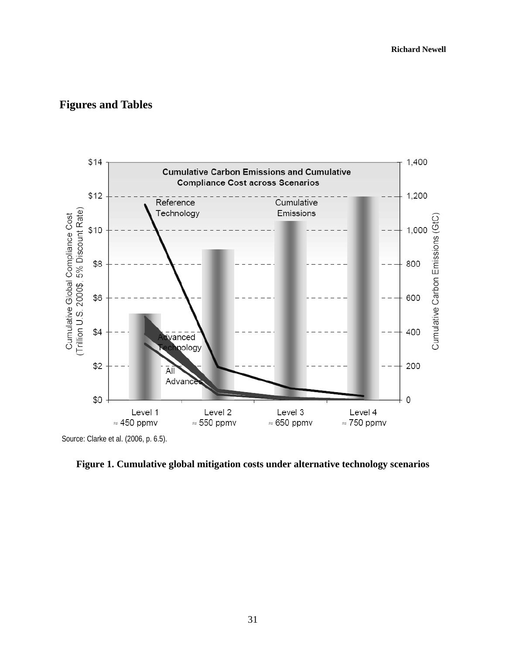# <span id="page-33-0"></span>**Figures and Tables**



<span id="page-33-1"></span>**Figure 1. Cumulative global mitigation costs under alternative technology scenarios**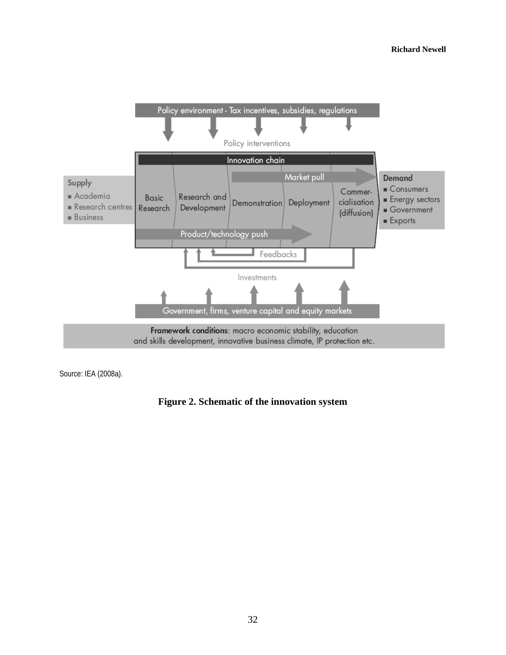

<span id="page-34-0"></span>Source: IEA (2008a).

**Figure 2. Schematic of the innovation system**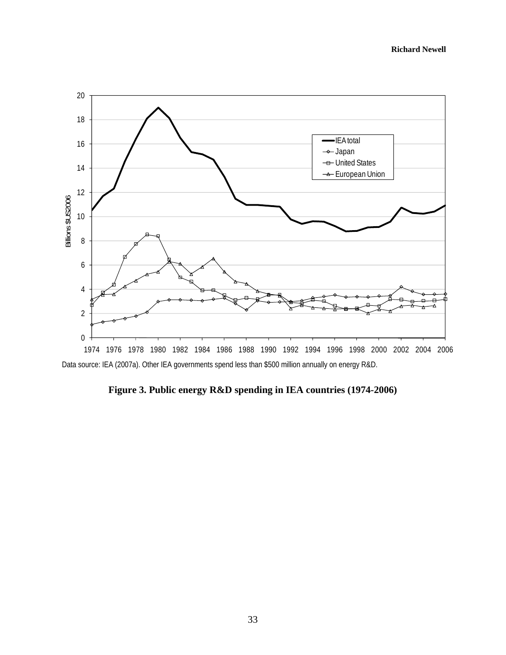

<span id="page-35-0"></span>Data source: IEA (2007a). Other IEA governments spend less than \$500 million annually on energy R&D.

**Figure 3. Public energy R&D spending in IEA countries (1974-2006)**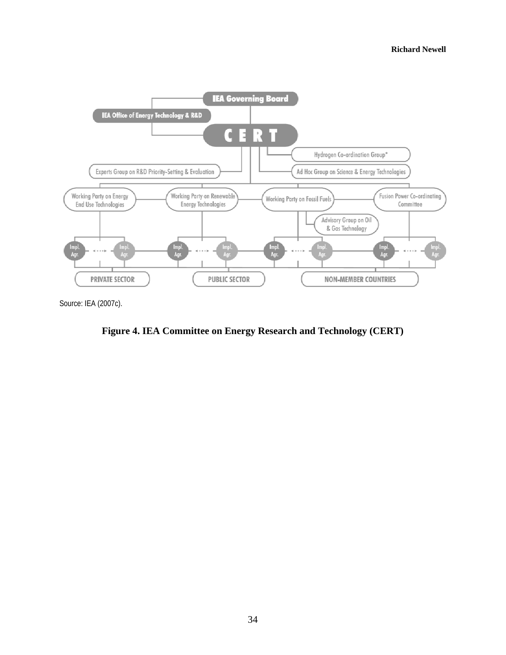

<span id="page-36-0"></span>Source: IEA (2007c).

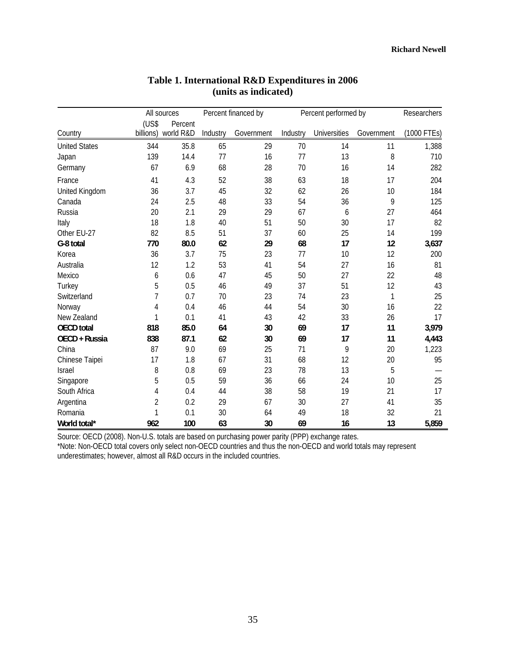<span id="page-37-0"></span>

|                      |                | All sources         |          | Percent financed by | Percent performed by |              | Researchers  |             |
|----------------------|----------------|---------------------|----------|---------------------|----------------------|--------------|--------------|-------------|
|                      | (US\$          | Percent             |          |                     |                      |              |              |             |
| Country              |                | billions) world R&D | Industry | Government          | Industry             | Universities | Government   | (1000 FTEs) |
| <b>United States</b> | 344            | 35.8                | 65       | 29                  | 70                   | 14           | 11           | 1,388       |
| Japan                | 139            | 14.4                | 77       | 16                  | 77                   | 13           | 8            | 710         |
| Germany              | 67             | 6.9                 | 68       | 28                  | 70                   | 16           | 14           | 282         |
| France               | 41             | 4.3                 | 52       | 38                  | 63                   | 18           | 17           | 204         |
| United Kingdom       | 36             | 3.7                 | 45       | 32                  | 62                   | 26           | 10           | 184         |
| Canada               | 24             | 2.5                 | 48       | 33                  | 54                   | 36           | 9            | 125         |
| Russia               | 20             | 2.1                 | 29       | 29                  | 67                   | 6            | 27           | 464         |
| Italy                | 18             | 1.8                 | 40       | 51                  | 50                   | 30           | 17           | 82          |
| Other EU-27          | 82             | 8.5                 | 51       | 37                  | 60                   | 25           | 14           | 199         |
| G-8 total            | 770            | 80.0                | 62       | 29                  | 68                   | 17           | 12           | 3,637       |
| Korea                | 36             | 3.7                 | 75       | 23                  | 77                   | 10           | 12           | 200         |
| Australia            | 12             | 1.2                 | 53       | 41                  | 54                   | 27           | 16           | 81          |
| Mexico               | 6              | 0.6                 | 47       | 45                  | 50                   | 27           | 22           | 48          |
| Turkey               | 5              | 0.5                 | 46       | 49                  | 37                   | 51           | 12           | 43          |
| Switzerland          | $\overline{7}$ | 0.7                 | 70       | 23                  | 74                   | 23           | $\mathbf{1}$ | 25          |
| Norway               | 4              | 0.4                 | 46       | 44                  | 54                   | 30           | 16           | 22          |
| New Zealand          | 1              | 0.1                 | 41       | 43                  | 42                   | 33           | 26           | 17          |
| <b>OECD</b> total    | 818            | 85.0                | 64       | 30                  | 69                   | 17           | 11           | 3,979       |
| OECD + Russia        | 838            | 87.1                | 62       | 30                  | 69                   | 17           | 11           | 4,443       |
| China                | 87             | 9.0                 | 69       | 25                  | 71                   | 9            | 20           | 1,223       |
| Chinese Taipei       | 17             | 1.8                 | 67       | 31                  | 68                   | 12           | 20           | 95          |
| Israel               | 8              | 0.8                 | 69       | 23                  | 78                   | 13           | 5            |             |
| Singapore            | 5              | 0.5                 | 59       | 36                  | 66                   | 24           | 10           | 25          |
| South Africa         | 4              | 0.4                 | 44       | 38                  | 58                   | 19           | 21           | 17          |
| Argentina            | $\overline{2}$ | 0.2                 | 29       | 67                  | 30                   | 27           | 41           | 35          |
| Romania              | 1              | 0.1                 | 30       | 64                  | 49                   | 18           | 32           | 21          |
| World total*         | 962            | 100                 | 63       | 30                  | 69                   | 16           | 13           | 5,859       |

### **Table 1. International R&D Expenditures in 2006 (units as indicated)**

Source: OECD (2008). Non-U.S. totals are based on purchasing power parity (PPP) exchange rates.

\*Note: Non-OECD total covers only select non-OECD countries and thus the non-OECD and world totals may represent underestimates; however, almost all R&D occurs in the included countries.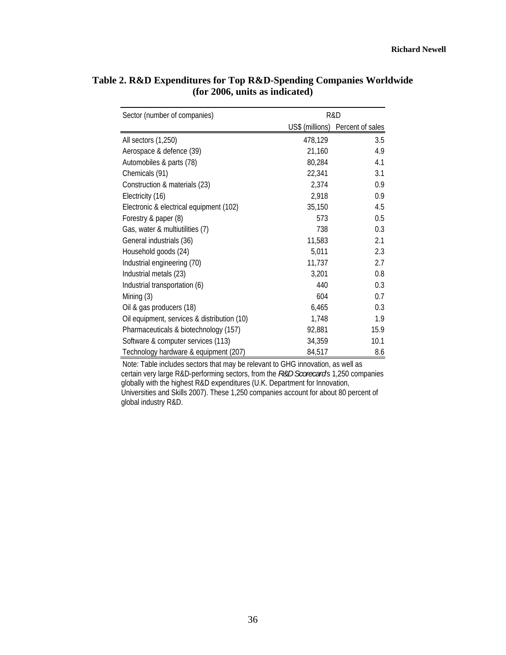| Sector (number of companies)                | R&D             |                  |  |  |
|---------------------------------------------|-----------------|------------------|--|--|
|                                             | US\$ (millions) | Percent of sales |  |  |
| All sectors (1,250)                         | 478,129         | 3.5              |  |  |
| Aerospace & defence (39)                    | 21,160          | 4.9              |  |  |
| Automobiles & parts (78)                    | 80,284          | 4.1              |  |  |
| Chemicals (91)                              | 22,341          | 3.1              |  |  |
| Construction & materials (23)               | 2,374           | 0.9              |  |  |
| Electricity (16)                            | 2,918           | 0.9              |  |  |
| Electronic & electrical equipment (102)     | 35,150          | 4.5              |  |  |
| Forestry & paper (8)                        | 573             | 0.5              |  |  |
| Gas, water & multiutilities (7)             | 738             | 0.3              |  |  |
| General industrials (36)                    | 11,583          | 2.1              |  |  |
| Household goods (24)                        | 5,011           | 2.3              |  |  |
| Industrial engineering (70)                 | 11,737          | 2.7              |  |  |
| Industrial metals (23)                      | 3,201           | 0.8              |  |  |
| Industrial transportation (6)               | 440             | 0.3              |  |  |
| Mining $(3)$                                | 604             | 0.7              |  |  |
| Oil & gas producers (18)                    | 6,465           | 0.3              |  |  |
| Oil equipment, services & distribution (10) | 1,748           | 1.9              |  |  |
| Pharmaceuticals & biotechnology (157)       | 92,881          | 15.9             |  |  |
| Software & computer services (113)          | 34,359          | 10.1             |  |  |
| Technology hardware & equipment (207)       | 84,517          | 8.6              |  |  |

#### <span id="page-38-0"></span>**Table 2. R&D Expenditures for Top R&D-Spending Companies Worldwide (for 2006, units as indicated)**

Note: Table includes sectors that may be relevant to GHG innovation, as well as certain very large R&D-performing sectors, from the *R&D Scorecard*'s 1,250 companies globally with the highest R&D expenditures (U.K. Department for Innovation, Universities and Skills 2007). These 1,250 companies account for about 80 percent of global industry R&D.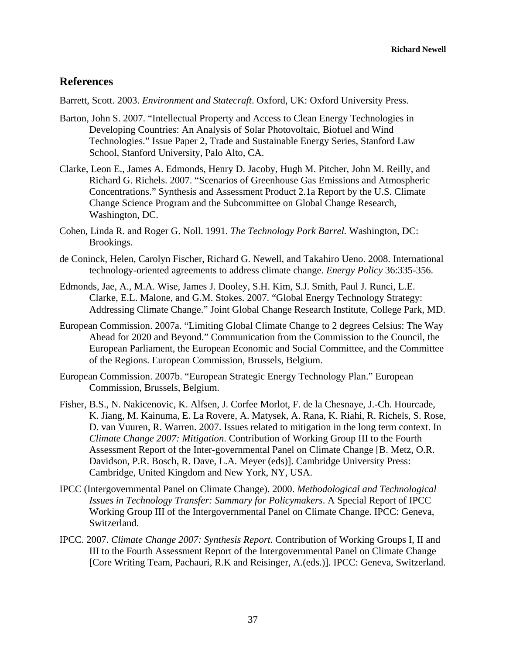## <span id="page-39-0"></span>**References**

Barrett, Scott. 2003. *Environment and Statecraft*. Oxford, UK: Oxford University Press.

- Barton, John S. 2007. "Intellectual Property and Access to Clean Energy Technologies in Developing Countries: An Analysis of Solar Photovoltaic, Biofuel and Wind Technologies." Issue Paper 2, Trade and Sustainable Energy Series, Stanford Law School, Stanford University, Palo Alto, CA.
- Clarke, Leon E., James A. Edmonds, Henry D. Jacoby, Hugh M. Pitcher, John M. Reilly, and Richard G. Richels. 2007. "Scenarios of Greenhouse Gas Emissions and Atmospheric Concentrations." Synthesis and Assessment Product 2.1a Report by the U.S. Climate Change Science Program and the Subcommittee on Global Change Research, Washington, DC.
- Cohen, Linda R. and Roger G. Noll. 1991. *The Technology Pork Barrel.* Washington, DC: Brookings.
- de Coninck, Helen, Carolyn Fischer, Richard G. Newell, and Takahiro Ueno. 2008. International technology-oriented agreements to address climate change. *Energy Policy* 36:335-356.
- Edmonds, Jae, A., M.A. Wise, James J. Dooley, S.H. Kim, S.J. Smith, Paul J. Runci, L.E. Clarke, E.L. Malone, and G.M. Stokes. 2007. "Global Energy Technology Strategy: Addressing Climate Change." Joint Global Change Research Institute, College Park, MD.
- European Commission. 2007a. "Limiting Global Climate Change to 2 degrees Celsius: The Way Ahead for 2020 and Beyond." Communication from the Commission to the Council, the European Parliament, the European Economic and Social Committee, and the Committee of the Regions. European Commission, Brussels, Belgium.
- European Commission. 2007b. "European Strategic Energy Technology Plan." European Commission, Brussels, Belgium.
- Fisher, B.S., N. Nakicenovic, K. Alfsen, J. Corfee Morlot, F. de la Chesnaye, J.-Ch. Hourcade, K. Jiang, M. Kainuma, E. La Rovere, A. Matysek, A. Rana, K. Riahi, R. Richels, S. Rose, D. van Vuuren, R. Warren. 2007. Issues related to mitigation in the long term context. In *Climate Change 2007: Mitigation*. Contribution of Working Group III to the Fourth Assessment Report of the Inter-governmental Panel on Climate Change [B. Metz, O.R. Davidson, P.R. Bosch, R. Dave, L.A. Meyer (eds)]. Cambridge University Press: Cambridge, United Kingdom and New York, NY, USA.
- IPCC (Intergovernmental Panel on Climate Change). 2000. *Methodological and Technological Issues in Technology Transfer: Summary for Policymakers*. A Special Report of IPCC Working Group III of the Intergovernmental Panel on Climate Change. IPCC: Geneva, Switzerland.
- IPCC. 2007. *Climate Change 2007: Synthesis Report.* Contribution of Working Groups I, II and III to the Fourth Assessment Report of the Intergovernmental Panel on Climate Change [Core Writing Team, Pachauri, R.K and Reisinger, A.(eds.)]. IPCC: Geneva, Switzerland.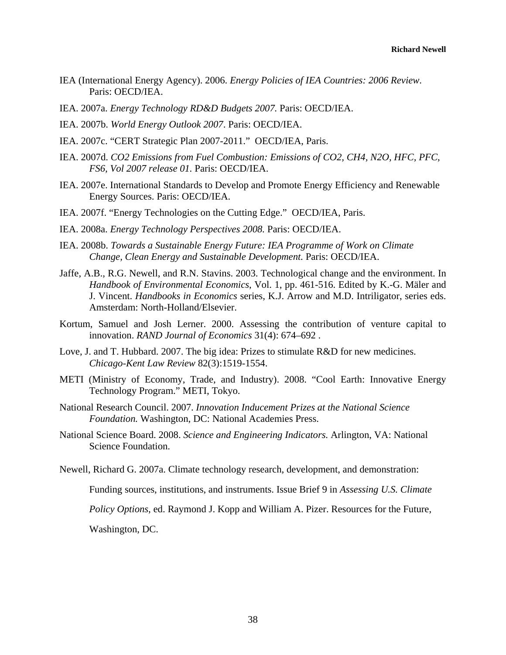- IEA (International Energy Agency). 2006. *Energy Policies of IEA Countries: 2006 Review*. Paris: OECD/IEA.
- IEA. 2007a. *Energy Technology RD&D Budgets 2007.* Paris: OECD/IEA.
- IEA. 2007b. *World Energy Outlook 2007*. Paris: OECD/IEA.
- IEA. 2007c. "CERT Strategic Plan 2007-2011." OECD/IEA, Paris.
- IEA. 2007d. *CO2 Emissions from Fuel Combustion: Emissions of CO2, CH4, N2O, HFC, PFC, FS6, Vol 2007 release 01.* Paris: OECD/IEA.
- IEA. 2007e. International Standards to Develop and Promote Energy Efficiency and Renewable Energy Sources. Paris: OECD/IEA.
- IEA. 2007f. "Energy Technologies on the Cutting Edge." OECD/IEA, Paris.
- IEA. 2008a. *Energy Technology Perspectives 2008.* Paris: OECD/IEA.
- IEA. 2008b. *Towards a Sustainable Energy Future: IEA Programme of Work on Climate Change, Clean Energy and Sustainable Development.* Paris: OECD/IEA.
- Jaffe, A.B., R.G. Newell, and R.N. Stavins. 2003. Technological change and the environment. In *Handbook of Environmental Economics*, Vol. 1, pp. 461-516. Edited by K.-G. Mäler and J. Vincent. *Handbooks in Economics* series, K.J. Arrow and M.D. Intriligator, series eds. Amsterdam: North-Holland/Elsevier.
- Kortum, Samuel and Josh Lerner. 2000. Assessing the contribution of venture capital to innovation. *RAND Journal of Economics* 31(4): 674–692 .
- Love, J. and T. Hubbard. 2007. The big idea: Prizes to stimulate R&D for new medicines. *Chicago-Kent Law Review* 82(3):1519-1554.
- METI (Ministry of Economy, Trade, and Industry). 2008. "Cool Earth: Innovative Energy Technology Program." METI, Tokyo.
- National Research Council. 2007. *Innovation Inducement Prizes at the National Science Foundation.* Washington, DC: National Academies Press.
- National Science Board. 2008. *Science and Engineering Indicators.* Arlington, VA: National Science Foundation.
- Newell, Richard G. 2007a. Climate technology research, development, and demonstration:

Funding sources, institutions, and instruments. Issue Brief 9 in *Assessing U.S. Climate* 

*Policy Options*, ed. Raymond J. Kopp and William A. Pizer. Resources for the Future,

Washington, DC.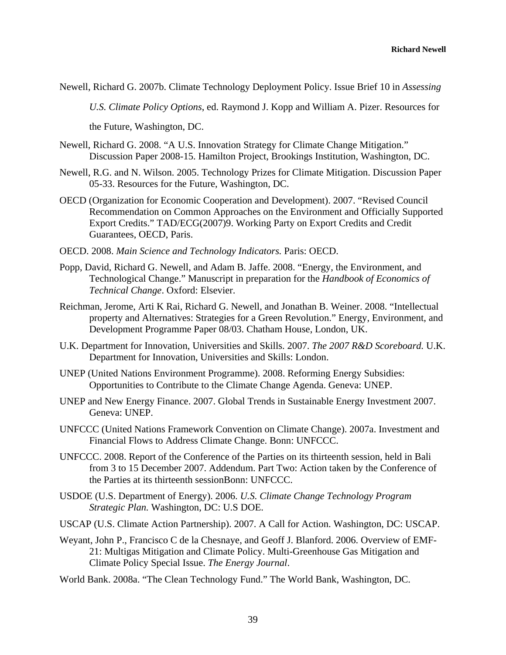Newell, Richard G. 2007b. Climate Technology Deployment Policy. Issue Brief 10 in *Assessing* 

*U.S. Climate Policy Options*, ed. Raymond J. Kopp and William A. Pizer. Resources for

the Future, Washington, DC.

- Newell, Richard G. 2008. "A U.S. Innovation Strategy for Climate Change Mitigation." Discussion Paper 2008-15. Hamilton Project, Brookings Institution, Washington, DC.
- Newell, R.G. and N. Wilson. 2005. Technology Prizes for Climate Mitigation. Discussion Paper 05-33. Resources for the Future, Washington, DC.
- OECD (Organization for Economic Cooperation and Development). 2007. "Revised Council Recommendation on Common Approaches on the Environment and Officially Supported Export Credits." TAD/ECG(2007)9. Working Party on Export Credits and Credit Guarantees, OECD, Paris.
- OECD. 2008. *Main Science and Technology Indicators.* Paris: OECD.
- Popp, David, Richard G. Newell, and Adam B. Jaffe. 2008. "Energy, the Environment, and Technological Change." Manuscript in preparation for the *Handbook of Economics of Technical Change*. Oxford: Elsevier.
- Reichman, Jerome, Arti K Rai, Richard G. Newell, and Jonathan B. Weiner. 2008. "Intellectual property and Alternatives: Strategies for a Green Revolution." Energy, Environment, and Development Programme Paper 08/03. Chatham House, London, UK.
- U.K. Department for Innovation, Universities and Skills. 2007. *The 2007 R&D Scoreboard.* U.K. Department for Innovation, Universities and Skills: London.
- UNEP (United Nations Environment Programme). 2008. Reforming Energy Subsidies: Opportunities to Contribute to the Climate Change Agenda. Geneva: UNEP.
- UNEP and New Energy Finance. 2007. Global Trends in Sustainable Energy Investment 2007. Geneva: UNEP.
- UNFCCC (United Nations Framework Convention on Climate Change). 2007a. Investment and Financial Flows to Address Climate Change. Bonn: UNFCCC.
- UNFCCC. 2008. Report of the Conference of the Parties on its thirteenth session, held in Bali from 3 to 15 December 2007. Addendum. Part Two: Action taken by the Conference of the Parties at its thirteenth sessionBonn: UNFCCC.
- USDOE (U.S. Department of Energy). 2006. *U.S. Climate Change Technology Program Strategic Plan.* Washington, DC: U.S DOE.
- USCAP (U.S. Climate Action Partnership). 2007. A Call for Action. Washington, DC: USCAP.
- Weyant, John P., Francisco C de la Chesnaye, and Geoff J. Blanford. 2006. Overview of EMF-21: Multigas Mitigation and Climate Policy. Multi-Greenhouse Gas Mitigation and Climate Policy Special Issue. *The Energy Journal*.
- World Bank. 2008a. "The Clean Technology Fund." The World Bank, Washington, DC.